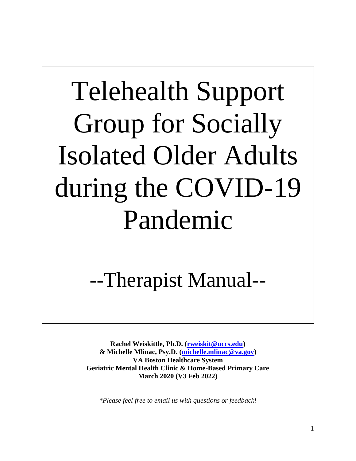# Telehealth Support Group for Socially Isolated Older Adults during the COVID-19 Pandemic

# --Therapist Manual--

**Rachel Weiskittle, Ph.D. [\(rweiskit@uccs.edu\)](mailto:rweiskit@uccs.edu) & Michelle Mlinac, Psy.D. [\(michelle.mlinac@va.gov\)](mailto:michelle.mlinac@va.gov) VA Boston Healthcare System Geriatric Mental Health Clinic & Home-Based Primary Care March 2020 (V3 Feb 2022)**

*\*Please feel free to email us with questions or feedback!*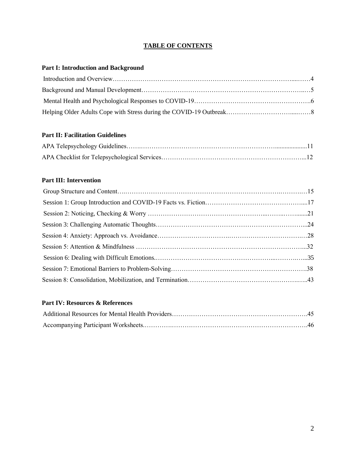### **TABLE OF CONTENTS**

### **Part I: Introduction and Background**

### **Part II: Facilitation Guidelines**

### **Part III: Intervention**

### **Part IV: Resources & References**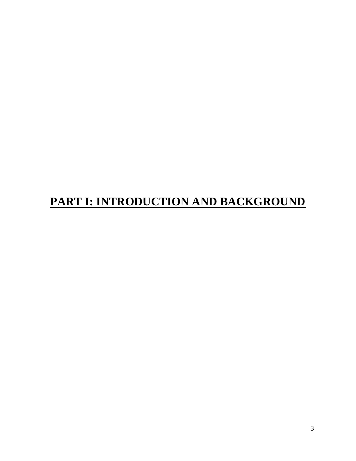# **PART I: INTRODUCTION AND BACKGROUND**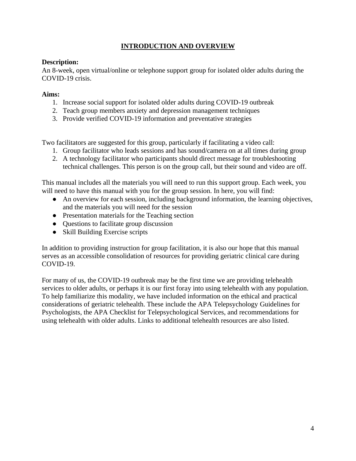### **INTRODUCTION AND OVERVIEW**

### **Description:**

An 8-week, open virtual/online or telephone support group for isolated older adults during the COVID-19 crisis.

### **Aims:**

- 1. Increase social support for isolated older adults during COVID-19 outbreak
- 2. Teach group members anxiety and depression management techniques
- 3. Provide verified COVID-19 information and preventative strategies

Two facilitators are suggested for this group, particularly if facilitating a video call:

- 1. Group facilitator who leads sessions and has sound/camera on at all times during group
- 2. A technology facilitator who participants should direct message for troubleshooting technical challenges. This person is on the group call, but their sound and video are off.

This manual includes all the materials you will need to run this support group. Each week, you will need to have this manual with you for the group session. In here, you will find:

- An overview for each session, including background information, the learning objectives, and the materials you will need for the session
- Presentation materials for the Teaching section
- Questions to facilitate group discussion
- Skill Building Exercise scripts

In addition to providing instruction for group facilitation, it is also our hope that this manual serves as an accessible consolidation of resources for providing geriatric clinical care during COVID-19.

For many of us, the COVID-19 outbreak may be the first time we are providing telehealth services to older adults, or perhaps it is our first foray into using telehealth with any population. To help familiarize this modality, we have included information on the ethical and practical considerations of geriatric telehealth. These include the APA Telepsychology Guidelines for Psychologists, the APA Checklist for Telepsychological Services, and recommendations for using telehealth with older adults. Links to additional telehealth resources are also listed.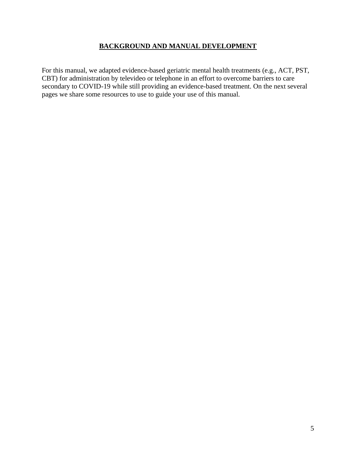### **BACKGROUND AND MANUAL DEVELOPMENT**

For this manual, we adapted evidence-based geriatric mental health treatments (e.g., ACT, PST, CBT) for administration by televideo or telephone in an effort to overcome barriers to care secondary to COVID-19 while still providing an evidence-based treatment. On the next several pages we share some resources to use to guide your use of this manual.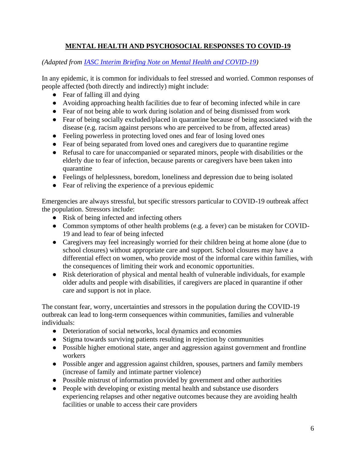### **MENTAL HEALTH AND PSYCHOSOCIAL RESPONSES TO COVID-19**

*(Adapted from [IASC Interim Briefing Note on Mental Health and COVID-19\)](https://interagencystandingcommittee.org/system/files/2020-03/IASC%20Interim%20Briefing%20Note%20on%20COVID-19%20Outbreak%20Readiness%20and%20Response%20Operations%20-%20MHPSS_0.pdf)* 

In any epidemic, it is common for individuals to feel stressed and worried. Common responses of people affected (both directly and indirectly) might include:

- Fear of falling ill and dying
- Avoiding approaching health facilities due to fear of becoming infected while in care
- Fear of not being able to work during isolation and of being dismissed from work
- Fear of being socially excluded/placed in quarantine because of being associated with the disease (e.g. racism against persons who are perceived to be from, affected areas)
- Feeling powerless in protecting loved ones and fear of losing loved ones
- Fear of being separated from loved ones and caregivers due to quarantine regime
- Refusal to care for unaccompanied or separated minors, people with disabilities or the elderly due to fear of infection, because parents or caregivers have been taken into quarantine
- Feelings of helplessness, boredom, loneliness and depression due to being isolated
- Fear of reliving the experience of a previous epidemic

Emergencies are always stressful, but specific stressors particular to COVID-19 outbreak affect the population. Stressors include:

- Risk of being infected and infecting others
- Common symptoms of other health problems (e.g. a fever) can be mistaken for COVID-19 and lead to fear of being infected
- Caregivers may feel increasingly worried for their children being at home alone (due to school closures) without appropriate care and support. School closures may have a differential effect on women, who provide most of the informal care within families, with the consequences of limiting their work and economic opportunities.
- Risk deterioration of physical and mental health of vulnerable individuals, for example older adults and people with disabilities, if caregivers are placed in quarantine if other care and support is not in place.

The constant fear, worry, uncertainties and stressors in the population during the COVID-19 outbreak can lead to long-term consequences within communities, families and vulnerable individuals:

- Deterioration of social networks, local dynamics and economies
- Stigma towards surviving patients resulting in rejection by communities
- Possible higher emotional state, anger and aggression against government and frontline workers
- Possible anger and aggression against children, spouses, partners and family members (increase of family and intimate partner violence)
- Possible mistrust of information provided by government and other authorities
- People with developing or existing mental health and substance use disorders experiencing relapses and other negative outcomes because they are avoiding health facilities or unable to access their care providers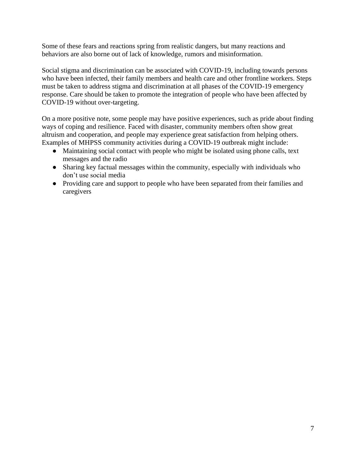Some of these fears and reactions spring from realistic dangers, but many reactions and behaviors are also borne out of lack of knowledge, rumors and misinformation.

Social stigma and discrimination can be associated with COVID-19, including towards persons who have been infected, their family members and health care and other frontline workers. Steps must be taken to address stigma and discrimination at all phases of the COVID-19 emergency response. Care should be taken to promote the integration of people who have been affected by COVID-19 without over-targeting.

On a more positive note, some people may have positive experiences, such as pride about finding ways of coping and resilience. Faced with disaster, community members often show great altruism and cooperation, and people may experience great satisfaction from helping others. Examples of MHPSS community activities during a COVID-19 outbreak might include:

- Maintaining social contact with people who might be isolated using phone calls, text messages and the radio
- Sharing key factual messages within the community, especially with individuals who don't use social media
- Providing care and support to people who have been separated from their families and caregivers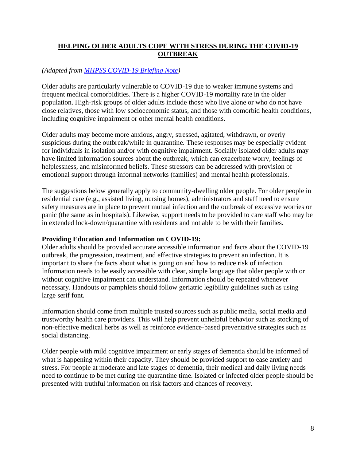### **HELPING OLDER ADULTS COPE WITH STRESS DURING THE COVID-19 OUTBREAK**

### *(Adapted from [MHPSS COVID-19 Briefing Note\)](https://mcusercontent.com/c2523f4cbed5f394e2158b43f/files/d92de91b-bf7f-4cf8-86fb-44957ab46970/MHPSS_COVID19_Briefing_Note_FINAL_26_February_2020.pdf)*

Older adults are particularly vulnerable to COVID-19 due to weaker immune systems and frequent medical comorbidities. There is a higher COVID-19 mortality rate in the older population. High-risk groups of older adults include those who live alone or who do not have close relatives, those with low socioeconomic status, and those with comorbid health conditions, including cognitive impairment or other mental health conditions.

Older adults may become more anxious, angry, stressed, agitated, withdrawn, or overly suspicious during the outbreak/while in quarantine. These responses may be especially evident for individuals in isolation and/or with cognitive impairment. Socially isolated older adults may have limited information sources about the outbreak, which can exacerbate worry, feelings of helplessness, and misinformed beliefs. These stressors can be addressed with provision of emotional support through informal networks (families) and mental health professionals.

The suggestions below generally apply to community-dwelling older people. For older people in residential care (e.g., assisted living, nursing homes), administrators and staff need to ensure safety measures are in place to prevent mutual infection and the outbreak of excessive worries or panic (the same as in hospitals). Likewise, support needs to be provided to care staff who may be in extended lock-down/quarantine with residents and not able to be with their families.

### **Providing Education and Information on COVID-19:**

Older adults should be provided accurate accessible information and facts about the COVID-19 outbreak, the progression, treatment, and effective strategies to prevent an infection. It is important to share the facts about what is going on and how to reduce risk of infection. Information needs to be easily accessible with clear, simple language that older people with or without cognitive impairment can understand. Information should be repeated whenever necessary. Handouts or pamphlets should follow geriatric legibility guidelines such as using large serif font.

Information should come from multiple trusted sources such as public media, social media and trustworthy health care providers. This will help prevent unhelpful behavior such as stocking of non-effective medical herbs as well as reinforce evidence-based preventative strategies such as social distancing.

Older people with mild cognitive impairment or early stages of dementia should be informed of what is happening within their capacity. They should be provided support to ease anxiety and stress. For people at moderate and late stages of dementia, their medical and daily living needs need to continue to be met during the quarantine time. Isolated or infected older people should be presented with truthful information on risk factors and chances of recovery.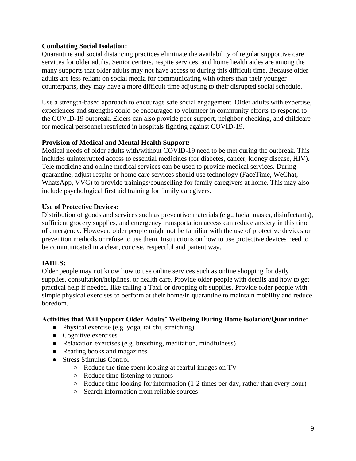### **Combatting Social Isolation:**

Quarantine and social distancing practices eliminate the availability of regular supportive care services for older adults. Senior centers, respite services, and home health aides are among the many supports that older adults may not have access to during this difficult time. Because older adults are less reliant on social media for communicating with others than their younger counterparts, they may have a more difficult time adjusting to their disrupted social schedule.

Use a strength-based approach to encourage safe social engagement. Older adults with expertise, experiences and strengths could be encouraged to volunteer in community efforts to respond to the COVID-19 outbreak. Elders can also provide peer support, neighbor checking, and childcare for medical personnel restricted in hospitals fighting against COVID-19.

### **Provision of Medical and Mental Health Support:**

Medical needs of older adults with/without COVID-19 need to be met during the outbreak. This includes uninterrupted access to essential medicines (for diabetes, cancer, kidney disease, HIV). Tele medicine and online medical services can be used to provide medical services. During quarantine, adjust respite or home care services should use technology (FaceTime, WeChat, WhatsApp, VVC) to provide trainings/counselling for family caregivers at home. This may also include psychological first aid training for family caregivers.

### **Use of Protective Devices:**

Distribution of goods and services such as preventive materials (e.g., facial masks, disinfectants), sufficient grocery supplies, and emergency transportation access can reduce anxiety in this time of emergency. However, older people might not be familiar with the use of protective devices or prevention methods or refuse to use them. Instructions on how to use protective devices need to be communicated in a clear, concise, respectful and patient way.

### **IADLS:**

Older people may not know how to use online services such as online shopping for daily supplies, consultation/helplines, or health care. Provide older people with details and how to get practical help if needed, like calling a Taxi, or dropping off supplies. Provide older people with simple physical exercises to perform at their home/in quarantine to maintain mobility and reduce boredom.

### **Activities that Will Support Older Adults' Wellbeing During Home Isolation/Quarantine:**

- Physical exercise (e.g. yoga, tai chi, stretching)
- Cognitive exercises
- Relaxation exercises (e.g. breathing, meditation, mindfulness)
- Reading books and magazines
- Stress Stimulus Control
	- Reduce the time spent looking at fearful images on TV
	- Reduce time listening to rumors
	- Reduce time looking for information (1-2 times per day, rather than every hour)
	- Search information from reliable sources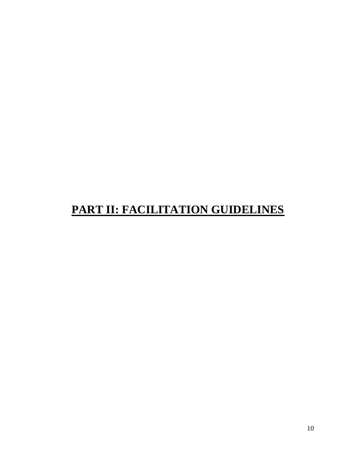# **PART II: FACILITATION GUIDELINES**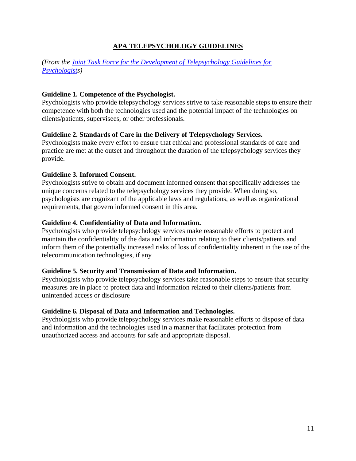### **APA TELEPSYCHOLOGY GUIDELINES**

### *(From the [Joint Task Force for the Development of Telepsychology Guidelines for](https://www.apa.org/pubs/journals/features/amp-a0035001.pdf)  [Psychologists](https://www.apa.org/pubs/journals/features/amp-a0035001.pdf))*

### **Guideline 1. Competence of the Psychologist.**

Psychologists who provide telepsychology services strive to take reasonable steps to ensure their competence with both the technologies used and the potential impact of the technologies on clients/patients, supervisees, or other professionals.

### **Guideline 2. Standards of Care in the Delivery of Telepsychology Services.**

Psychologists make every effort to ensure that ethical and professional standards of care and practice are met at the outset and throughout the duration of the telepsychology services they provide.

### **Guideline 3. Informed Consent.**

Psychologists strive to obtain and document informed consent that specifically addresses the unique concerns related to the telepsychology services they provide. When doing so, psychologists are cognizant of the applicable laws and regulations, as well as organizational requirements, that govern informed consent in this area.

### **Guideline 4. Confidentiality of Data and Information.**

Psychologists who provide telepsychology services make reasonable efforts to protect and maintain the confidentiality of the data and information relating to their clients/patients and inform them of the potentially increased risks of loss of confidentiality inherent in the use of the telecommunication technologies, if any

### **Guideline 5. Security and Transmission of Data and Information.**

Psychologists who provide telepsychology services take reasonable steps to ensure that security measures are in place to protect data and information related to their clients/patients from unintended access or disclosure

### **Guideline 6. Disposal of Data and Information and Technologies.**

Psychologists who provide telepsychology services make reasonable efforts to dispose of data and information and the technologies used in a manner that facilitates protection from unauthorized access and accounts for safe and appropriate disposal.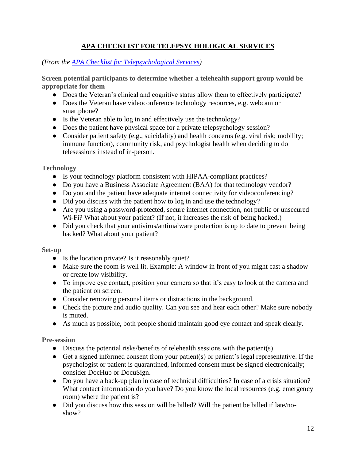### **APA CHECKLIST FOR TELEPSYCHOLOGICAL SERVICES**

### *(From the [APA Checklist for Telepsychological Services\)](https://www.apa.org/practice/programs/dmhi/research-information/telepsychological-services-checklist)*

**Screen potential participants to determine whether a telehealth support group would be appropriate for them**

- Does the Veteran's clinical and cognitive status allow them to effectively participate?
- Does the Veteran have videoconference technology resources, e.g. webcam or smartphone?
- Is the Veteran able to log in and effectively use the technology?
- Does the patient have physical space for a private telepsychology session?
- Consider patient safety (e.g., suicidality) and health concerns (e.g. viral risk; mobility; immune function), community risk, and psychologist health when deciding to do telesessions instead of in-person.

**Technology**

- Is your technology platform consistent with HIPAA-compliant practices?
- Do you have a Business Associate Agreement (BAA) for that technology vendor?
- Do you and the patient have adequate internet connectivity for videoconferencing?
- Did you discuss with the patient how to log in and use the technology?
- Are you using a password-protected, secure internet connection, not public or unsecured Wi-Fi? What about your patient? (If not, it increases the risk of being hacked.)
- Did you check that your antivirus/antimalware protection is up to date to prevent being hacked? What about your patient?

### **Set-up**

- Is the location private? Is it reasonably quiet?
- Make sure the room is well lit. Example: A window in front of you might cast a shadow or create low visibility.
- To improve eye contact, position your camera so that it's easy to look at the camera and the patient on screen.
- Consider removing personal items or distractions in the background.
- Check the picture and audio quality. Can you see and hear each other? Make sure nobody is muted.
- As much as possible, both people should maintain good eye contact and speak clearly.

### **Pre-session**

- $\bullet$  Discuss the potential risks/benefits of telehealth sessions with the patient(s).
- Get a signed informed consent from your patient(s) or patient's legal representative. If the psychologist or patient is quarantined, informed consent must be signed electronically; consider DocHub or DocuSign.
- Do you have a back-up plan in case of technical difficulties? In case of a crisis situation? What contact information do you have? Do you know the local resources (e.g. emergency room) where the patient is?
- Did you discuss how this session will be billed? Will the patient be billed if late/noshow?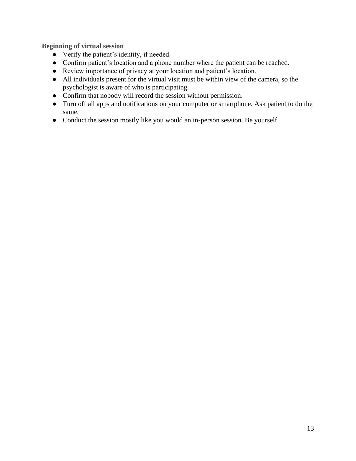**Beginning of virtual session**

- Verify the patient's identity, if needed.
- Confirm patient's location and a phone number where the patient can be reached.
- Review importance of privacy at your location and patient's location.
- All individuals present for the virtual visit must be within view of the camera, so the psychologist is aware of who is participating.
- Confirm that nobody will record the session without permission.
- Turn off all apps and notifications on your computer or smartphone. Ask patient to do the same.
- Conduct the session mostly like you would an in-person session. Be yourself.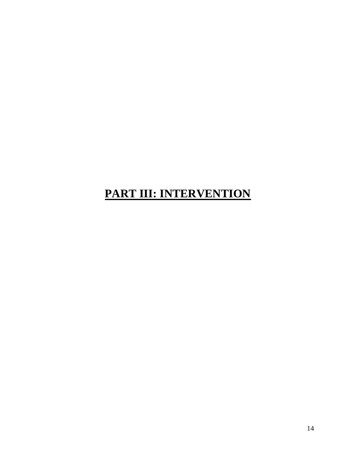# **PART III: INTERVENTION**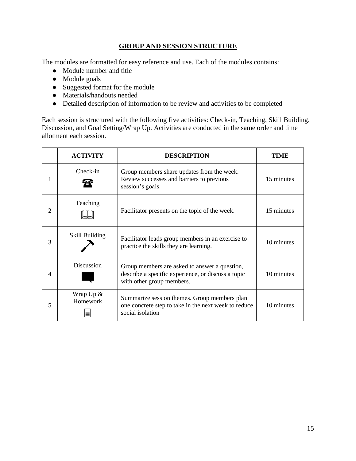### **GROUP AND SESSION STRUCTURE**

The modules are formatted for easy reference and use. Each of the modules contains:

- Module number and title
- Module goals
- Suggested format for the module
- Materials/handouts needed
- Detailed description of information to be review and activities to be completed

Each session is structured with the following five activities: Check-in, Teaching, Skill Building, Discussion, and Goal Setting/Wrap Up. Activities are conducted in the same order and time allotment each session.

|   | <b>ACTIVITY</b>          | <b>DESCRIPTION</b>                                                                                                               | TIME       |
|---|--------------------------|----------------------------------------------------------------------------------------------------------------------------------|------------|
| 1 | Check-in                 | Group members share updates from the week.<br>Review successes and barriers to previous<br>session's goals.                      | 15 minutes |
| 2 | Teaching                 | Facilitator presents on the topic of the week.                                                                                   | 15 minutes |
| 3 | Skill Building           | Facilitator leads group members in an exercise to<br>practice the skills they are learning.                                      | 10 minutes |
| 4 | Discussion               | Group members are asked to answer a question,<br>describe a specific experience, or discuss a topic<br>with other group members. | 10 minutes |
| 5 | Wrap $Up \&$<br>Homework | Summarize session themes. Group members plan<br>one concrete step to take in the next week to reduce<br>social isolation         | 10 minutes |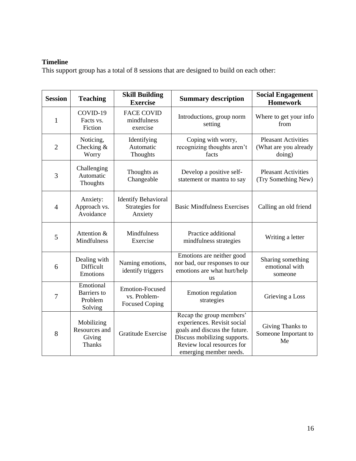### **Timeline**

This support group has a total of 8 sessions that are designed to build on each other:

| <b>Session</b> | <b>Teaching</b>                                        | <b>Skill Building</b><br><b>Exercise</b>                        | <b>Summary description</b>                                                                                                                                                       | <b>Social Engagement</b><br><b>Homework</b>                   |
|----------------|--------------------------------------------------------|-----------------------------------------------------------------|----------------------------------------------------------------------------------------------------------------------------------------------------------------------------------|---------------------------------------------------------------|
| $\mathbf{1}$   | COVID-19<br>Facts vs.<br>Fiction                       | <b>FACE COVID</b><br>mindfulness<br>exercise                    | Introductions, group norm<br>setting                                                                                                                                             | Where to get your info<br>from                                |
| $\overline{2}$ | Noticing,<br>Checking $&$<br>Worry                     | Identifying<br>Automatic<br>Thoughts                            | Coping with worry,<br>recognizing thoughts aren't<br>facts                                                                                                                       | <b>Pleasant Activities</b><br>(What are you already<br>doing) |
| 3              | Challenging<br>Automatic<br><b>Thoughts</b>            | Thoughts as<br>Changeable                                       | Develop a positive self-<br>statement or mantra to say                                                                                                                           | <b>Pleasant Activities</b><br>(Try Something New)             |
| $\overline{4}$ | Anxiety:<br>Approach vs.<br>Avoidance                  | <b>Identify Behavioral</b><br>Strategies for<br>Anxiety         | <b>Basic Mindfulness Exercises</b>                                                                                                                                               | Calling an old friend                                         |
| 5              | Attention &<br>Mindfulness                             | Mindfulness<br>Exercise                                         | Practice additional<br>mindfulness strategies                                                                                                                                    | Writing a letter                                              |
| 6              | Dealing with<br><b>Difficult</b><br>Emotions           | Naming emotions,<br>identify triggers                           | Emotions are neither good<br>nor bad, our responses to our<br>emotions are what hurt/help<br><b>us</b>                                                                           | Sharing something<br>emotional with<br>someone                |
| 7              | Emotional<br><b>Barriers</b> to<br>Problem<br>Solving  | <b>Emotion-Focused</b><br>vs. Problem-<br><b>Focused Coping</b> | <b>Emotion</b> regulation<br>strategies                                                                                                                                          | Grieving a Loss                                               |
| 8              | Mobilizing<br>Resources and<br>Giving<br><b>Thanks</b> | Gratitude Exercise                                              | Recap the group members'<br>experiences. Revisit social<br>goals and discuss the future.<br>Discuss mobilizing supports.<br>Review local resources for<br>emerging member needs. | Giving Thanks to<br>Someone Important to<br>Me                |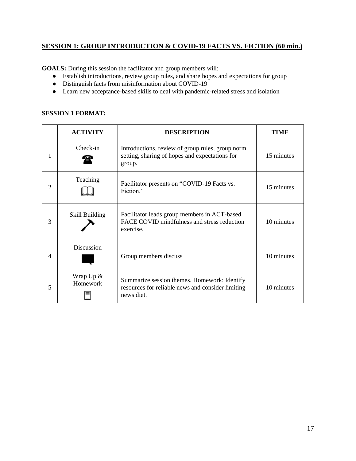### **SESSION 1: GROUP INTRODUCTION & COVID-19 FACTS VS. FICTION (60 min.)**

**GOALS:** During this session the facilitator and group members will:

- Establish introductions, review group rules, and share hopes and expectations for group
- Distinguish facts from misinformation about COVID-19
- Learn new acceptance-based skills to deal with pandemic-related stress and isolation

### **SESSION 1 FORMAT:**

|   | <b>ACTIVITY</b>              | <b>DESCRIPTION</b>                                                                                              | TIME       |
|---|------------------------------|-----------------------------------------------------------------------------------------------------------------|------------|
| 1 | Check-in                     | Introductions, review of group rules, group norm<br>setting, sharing of hopes and expectations for<br>group.    | 15 minutes |
| 2 | Teaching                     | Facilitator presents on "COVID-19 Facts vs.<br>Fiction."                                                        | 15 minutes |
| 3 | Skill Building               | Facilitator leads group members in ACT-based<br>FACE COVID mindfulness and stress reduction<br>exercise.        | 10 minutes |
| 4 | <b>Discussion</b>            | Group members discuss                                                                                           | 10 minutes |
| 5 | Wrap $Up &$<br>Homework<br>言 | Summarize session themes. Homework: Identify<br>resources for reliable news and consider limiting<br>news diet. | 10 minutes |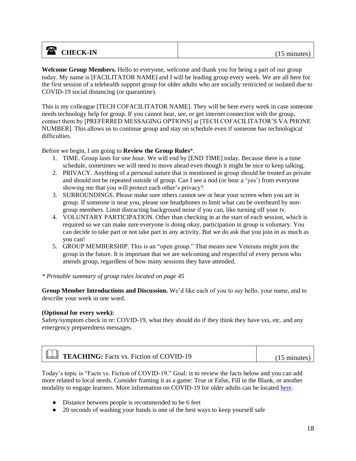### **a** CHECK-IN (15 minutes)

**Welcome Group Members.** Hello to everyone, welcome and thank you for being a part of our group today. My name is [FACILITATOR NAME] and I will be leading group every week. We are all here for the first session of a telehealth support group for older adults who are socially restricted or isolated due to COVID-19 social distancing (or quarantine).

This is my colleague [TECH COFACILITATOR NAME]. They will be here every week in case someone needs technology help for group. If you cannot hear, see, or get internet connection with the group, contact them by [PREFERRED MESSAGING OPTIONS] at [TECH COFACILITATOR'S VA PHONE NUMBER]. This allows us to continue group and stay on schedule even if someone has technological difficulties.

Before we begin, I am going to **Review the Group Rules**\*.

- 1. TIME. Group lasts for one hour. We will end by [END TIME] today. Because there is a time schedule, sometimes we will need to move ahead even though it might be nice to keep talking.
- 2. PRIVACY. Anything of a personal nature that is mentioned in group should be treated as private and should not be repeated outside of group. Can I see a nod (or hear a 'yes') from everyone showing me that you will protect each other's privacy?
- 3. SURROUNDINGS. Please make sure others cannot see or hear your screen when you are in group. If someone is near you, please use headphones to limit what can be overheard by nongroup members. Limit distracting background noise if you can, like turning off your tv.
- 4. VOLUNTARY PARTICIPATION. Other than checking in at the start of each session, which is required so we can make sure everyone is doing okay, participation in group is voluntary. You can decide to take part or not take part in any activity. But we do ask that you join in as much as you can!
- 5. GROUP MEMBERSHIP. This is an "open group." That means new Veterans might join the group in the future. It is important that we are welcoming and respectful of every person who attends group, regardless of how many sessions they have attended.

*\* Printable summary of group rules located on page 45*

**Group Member Introductions and Discussion.** We'd like each of you to say hello, your name, and to describe your week in one word.

### **(Optional for every week):**

Safety/symptom check in re: COVID-19, what they should do if they think they have sxs, etc. and any emergency preparedness messages.

| <b>Example:</b> Facts vs. Fiction of COVID-19 | $(15 \text{ minutes})$ |
|-----------------------------------------------|------------------------|
|-----------------------------------------------|------------------------|

Today's topic is "Facts vs. Fiction of COVID-19." Goal: is to review the facts below and you can add more related to local needs. Consider framing it as a game: True or False, Fill in the Blank, or another modality to engage learners. More information on COVID-19 for older adults can be located [here.](https://gerocentral.org/wp-content/uploads/2020/03/Covid-19-Guidance-and-advice-for-older-people.pdf)

- Distance between people is recommended to be 6 feet
- 20 seconds of washing your hands is one of the best ways to keep yourself safe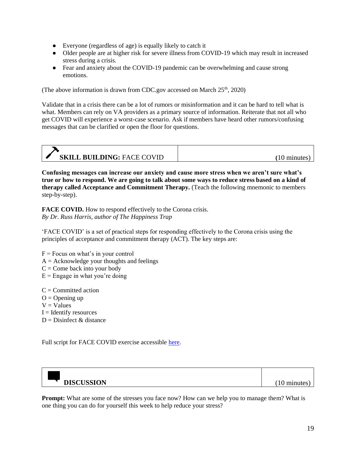- Everyone (regardless of age) is equally likely to catch it
- Older people are at higher risk for severe illness from COVID-19 which may result in increased stress during a crisis.
- Fear and anxiety about the COVID-19 pandemic can be overwhelming and cause strong emotions.

(The above information is drawn from CDC.gov accessed on March  $25<sup>th</sup>$ , 2020)

Validate that in a crisis there can be a lot of rumors or misinformation and it can be hard to tell what is what. Members can rely on VA providers as a primary source of information. Reiterate that not all who get COVID will experience a worst-case scenario. Ask if members have heard other rumors/confusing messages that can be clarified or open the floor for questions.

| <b>SKILL BUILDING: FACE COVID</b> | minutes |
|-----------------------------------|---------|

**Confusing messages can increase our anxiety and cause more stress when we aren't sure what's true or how to respond. We are going to talk about some ways to reduce stress based on a kind of therapy called Acceptance and Commitment Therapy.** (Teach the following mnemonic to members step-by-step).

**FACE COVID.** How to respond effectively to the Corona crisis. *By Dr. Russ Harris, author of The Happiness Trap*

'FACE COVID' is a set of practical steps for responding effectively to the Corona crisis using the principles of acceptance and commitment therapy (ACT). The key steps are:

- $F =$ Focus on what's in your control
- $A = Acknowledge$  your thoughts and feelings
- $C =$ Come back into your body
- $E =$  Engage in what you're doing

 $C =$  Committed action

- $O =$ Opening up
- $V = Values$
- $I =$ Identify resources
- $D =$ Disinfect & distance

Full script for FACE COVID exercise accessible [here.](https://e-tmf.org/app/uploads/2020/03/FACE-COVID-How-to-respond-effectively-to-the-Corona-crisis-by-Russ-Harris.pdf)



**Prompt:** What are some of the stresses you face now? How can we help you to manage them? What is one thing you can do for yourself this week to help reduce your stress?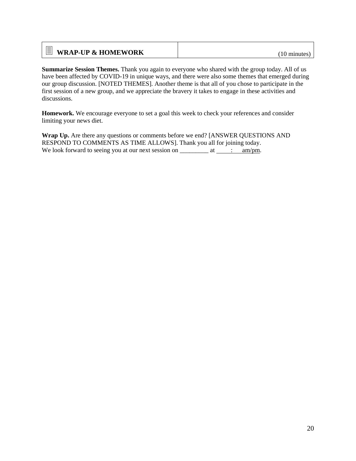| $\equiv$ WRAP-UP & HOMEWORK | $(10 \text{ minutes})$ |
|-----------------------------|------------------------|
|-----------------------------|------------------------|

**Summarize Session Themes.** Thank you again to everyone who shared with the group today. All of us have been affected by COVID-19 in unique ways, and there were also some themes that emerged during our group discussion. [NOTED THEMES]. Another theme is that all of you chose to participate in the first session of a new group, and we appreciate the bravery it takes to engage in these activities and discussions.

**Homework.** We encourage everyone to set a goal this week to check your references and consider limiting your news diet.

**Wrap Up.** Are there any questions or comments before we end? [ANSWER QUESTIONS AND RESPOND TO COMMENTS AS TIME ALLOWS]. Thank you all for joining today. We look forward to seeing you at our next session on  $\frac{\ }{\ }$  at  $\frac{\ }{\ }$  : am/pm.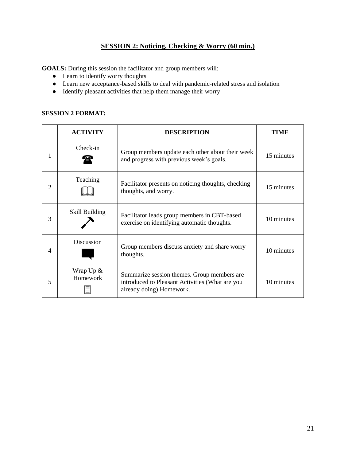### **SESSION 2: Noticing, Checking & Worry (60 min.)**

**GOALS:** During this session the facilitator and group members will:

- Learn to identify worry thoughts
- Learn new acceptance-based skills to deal with pandemic-related stress and isolation
- Identify pleasant activities that help them manage their worry

### **SESSION 2 FORMAT:**

|   | <b>ACTIVITY</b>         | <b>DESCRIPTION</b>                                                                                                         | TIME       |
|---|-------------------------|----------------------------------------------------------------------------------------------------------------------------|------------|
| 1 | Check-in                | Group members update each other about their week<br>and progress with previous week's goals.                               | 15 minutes |
| 2 | Teaching                | Facilitator presents on noticing thoughts, checking<br>thoughts, and worry.                                                | 15 minutes |
| 3 | Skill Building          | Facilitator leads group members in CBT-based<br>exercise on identifying automatic thoughts.                                | 10 minutes |
| 4 | <b>Discussion</b>       | Group members discuss anxiety and share worry<br>thoughts.                                                                 | 10 minutes |
| 5 | Wrap $Up &$<br>Homework | Summarize session themes. Group members are<br>introduced to Pleasant Activities (What are you<br>already doing) Homework. | 10 minutes |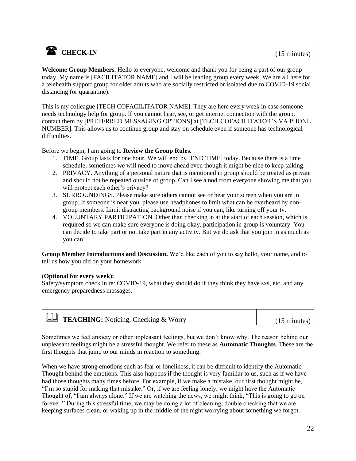### **a** CHECK-IN (15 minutes)

**Welcome Group Members.** Hello to everyone, welcome and thank you for being a part of our group today. My name is [FACILITATOR NAME] and I will be leading group every week. We are all here for a telehealth support group for older adults who are socially restricted or isolated due to COVID-19 social distancing (or quarantine).

This is my colleague [TECH COFACILITATOR NAME]. They are here every week in case someone needs technology help for group. If you cannot hear, see, or get internet connection with the group, contact them by [PREFERRED MESSAGING OPTIONS] at [TECH COFACILITATOR'S VA PHONE NUMBER]. This allows us to continue group and stay on schedule even if someone has technological difficulties.

Before we begin, I am going to **Review the Group Rules**.

- 1. TIME. Group lasts for one hour. We will end by [END TIME] today. Because there is a time schedule, sometimes we will need to move ahead even though it might be nice to keep talking.
- 2. PRIVACY. Anything of a personal nature that is mentioned in group should be treated as private and should not be repeated outside of group. Can I see a nod from everyone showing me that you will protect each other's privacy?
- 3. SURROUNDINGS. Please make sure others cannot see or hear your screen when you are in group. If someone is near you, please use headphones to limit what can be overheard by nongroup members. Limit distracting background noise if you can, like turning off your tv.
- 4. VOLUNTARY PARTICIPATION. Other than checking in at the start of each session, which is required so we can make sure everyone is doing okay, participation in group is voluntary. You can decide to take part or not take part in any activity. But we do ask that you join in as much as you can!

**Group Member Introductions and Discussion.** We'd like each of you to say hello, your name, and to tell us how you did on your homework.

### **(Optional for every week):**

Safety/symptom check in re: COVID-19, what they should do if they think they have sxs, etc. and any emergency preparedness messages.

| <b>Examing:</b> Noticing, Checking & Worry | $(15 \text{ minutes})$ |
|--------------------------------------------|------------------------|

Sometimes we feel anxiety or other unpleasant feelings, but we don't know why. The reason behind our unpleasant feelings might be a stressful thought. We refer to these as **Automatic Thoughts**. These are the first thoughts that jump to our minds in reaction to something.

When we have strong emotions such as fear or loneliness, it can be difficult to identify the Automatic Thought behind the emotions. This also happens if the thought is very familiar to us, such as if we have had those thoughts many times before. For example, if we make a mistake, our first thought might be, "I'm so stupid for making that mistake." Or, if we are feeling lonely, we might have the Automatic Thought of, "I am always alone." If we are watching the news, we might think, "This is going to go on forever." During this stressful time, we may be doing a lot of cleaning, double checking that we are keeping surfaces clean, or waking up in the middle of the night worrying about something we forgot.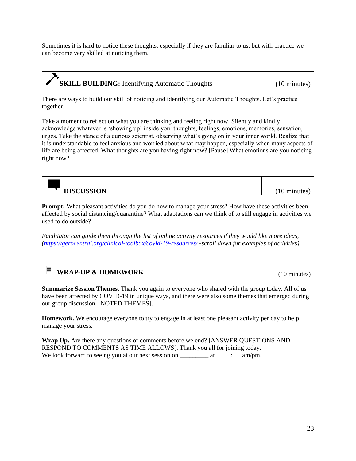Sometimes it is hard to notice these thoughts, especially if they are familiar to us, but with practice we can become very skilled at noticing them.

| <b>SKILL BUILDING:</b> Identifying Automatic Thoughts | $(10 \text{ minutes})$ |
|-------------------------------------------------------|------------------------|

There are ways to build our skill of noticing and identifying our Automatic Thoughts. Let's practice together.

Take a moment to reflect on what you are thinking and feeling right now. Silently and kindly acknowledge whatever is 'showing up' inside you: thoughts, feelings, emotions, memories, sensation, urges. Take the stance of a curious scientist, observing what's going on in your inner world. Realize that it is understandable to feel anxious and worried about what may happen, especially when many aspects of life are being affected. What thoughts are you having right now? [Pause] What emotions are you noticing right now?

| <b>JISCUSSION</b><br><b>DIS</b> |  |
|---------------------------------|--|

**Prompt:** What pleasant activities do you do now to manage your stress? How have these activities been affected by social distancing/quarantine? What adaptations can we think of to still engage in activities we used to do outside?

*Facilitator can guide them through the list of online activity resources if they would like more ideas, [\(https://gerocentral.org/clinical-toolbox/covid-19-resources/](https://gerocentral.org/clinical-toolbox/covid-19-resources/) -scroll down for examples of activities)*

| Ξ                             | 10      |
|-------------------------------|---------|
| <b>WRAP-UP &amp; HOMEWORK</b> | minutes |

**Summarize Session Themes.** Thank you again to everyone who shared with the group today. All of us have been affected by COVID-19 in unique ways, and there were also some themes that emerged during our group discussion. [NOTED THEMES].

**Homework.** We encourage everyone to try to engage in at least one pleasant activity per day to help manage your stress.

**Wrap Up.** Are there any questions or comments before we end? [ANSWER QUESTIONS AND RESPOND TO COMMENTS AS TIME ALLOWS]. Thank you all for joining today. We look forward to seeing you at our next session on  $\frac{\ }{\ }$  at  $\frac{\ }{\ }$  : am/pm.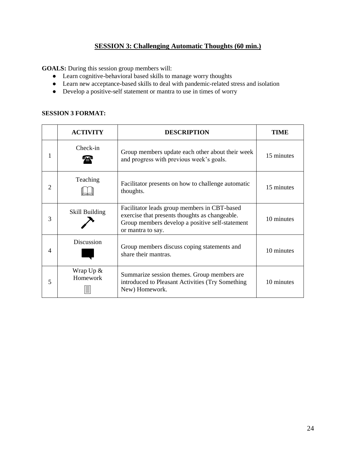### **SESSION 3: Challenging Automatic Thoughts (60 min.)**

**GOALS:** During this session group members will:

- Learn cognitive-behavioral based skills to manage worry thoughts
- Learn new acceptance-based skills to deal with pandemic-related stress and isolation
- Develop a positive-self statement or mantra to use in times of worry

### **SESSION 3 FORMAT:**

|   | <b>ACTIVITY</b>         | <b>DESCRIPTION</b>                                                                                                                                                     | TIME       |
|---|-------------------------|------------------------------------------------------------------------------------------------------------------------------------------------------------------------|------------|
| 1 | Check-in                | Group members update each other about their week<br>and progress with previous week's goals.                                                                           | 15 minutes |
| 2 | Teaching                | Facilitator presents on how to challenge automatic<br>thoughts.                                                                                                        | 15 minutes |
| 3 | Skill Building          | Facilitator leads group members in CBT-based<br>exercise that presents thoughts as changeable.<br>Group members develop a positive self-statement<br>or mantra to say. | 10 minutes |
| 4 | <b>Discussion</b>       | Group members discuss coping statements and<br>share their mantras.                                                                                                    | 10 minutes |
| 5 | Wrap $Up &$<br>Homework | Summarize session themes. Group members are<br>introduced to Pleasant Activities (Try Something)<br>New) Homework.                                                     | 10 minutes |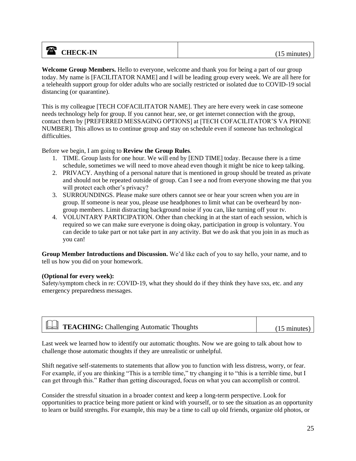### **a** CHECK-IN (15 minutes)

**Welcome Group Members.** Hello to everyone, welcome and thank you for being a part of our group today. My name is [FACILITATOR NAME] and I will be leading group every week. We are all here for a telehealth support group for older adults who are socially restricted or isolated due to COVID-19 social distancing (or quarantine).

This is my colleague [TECH COFACILITATOR NAME]. They are here every week in case someone needs technology help for group. If you cannot hear, see, or get internet connection with the group, contact them by [PREFERRED MESSAGING OPTIONS] at [TECH COFACILITATOR'S VA PHONE NUMBER]. This allows us to continue group and stay on schedule even if someone has technological difficulties.

Before we begin, I am going to **Review the Group Rules**.

- 1. TIME. Group lasts for one hour. We will end by [END TIME] today. Because there is a time schedule, sometimes we will need to move ahead even though it might be nice to keep talking.
- 2. PRIVACY. Anything of a personal nature that is mentioned in group should be treated as private and should not be repeated outside of group. Can I see a nod from everyone showing me that you will protect each other's privacy?
- 3. SURROUNDINGS. Please make sure others cannot see or hear your screen when you are in group. If someone is near you, please use headphones to limit what can be overheard by nongroup members. Limit distracting background noise if you can, like turning off your tv.
- 4. VOLUNTARY PARTICIPATION. Other than checking in at the start of each session, which is required so we can make sure everyone is doing okay, participation in group is voluntary. You can decide to take part or not take part in any activity. But we do ask that you join in as much as you can!

**Group Member Introductions and Discussion.** We'd like each of you to say hello, your name, and to tell us how you did on your homework.

#### **(Optional for every week):**

Safety/symptom check in re: COVID-19, what they should do if they think they have sxs, etc. and any emergency preparedness messages.

|--|

Last week we learned how to identify our automatic thoughts. Now we are going to talk about how to challenge those automatic thoughts if they are unrealistic or unhelpful.

Shift negative self-statements to statements that allow you to function with less distress, worry, or fear. For example, if you are thinking "This is a terrible time," try changing it to "this is a terrible time, but I can get through this." Rather than getting discouraged, focus on what you can accomplish or control.

Consider the stressful situation in a broader context and keep a long-term perspective. Look for opportunities to practice being more patient or kind with yourself, or to see the situation as an opportunity to learn or build strengths. For example, this may be a time to call up old friends, organize old photos, or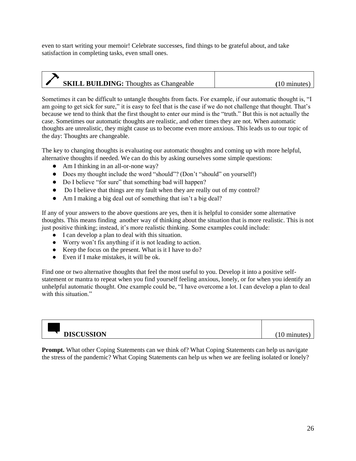even to start writing your memoir! Celebrate successes, find things to be grateful about, and take satisfaction in completing tasks, even small ones.

| <b>SKILL BUILDING:</b> Thoughts as Changeable |  |
|-----------------------------------------------|--|
|                                               |  |

Sometimes it can be difficult to untangle thoughts from facts. For example, if our automatic thought is, "I am going to get sick for sure," it is easy to feel that is the case if we do not challenge that thought. That's because we tend to think that the first thought to enter our mind is the "truth." But this is not actually the case. Sometimes our automatic thoughts are realistic, and other times they are not. When automatic thoughts are unrealistic, they might cause us to become even more anxious. This leads us to our topic of the day: Thoughts are changeable.

The key to changing thoughts is evaluating our automatic thoughts and coming up with more helpful, alternative thoughts if needed. We can do this by asking ourselves some simple questions:

- Am I thinking in an all-or-none way?
- Does my thought include the word "should"? (Don't "should" on yourself!)
- Do I believe "for sure" that something bad will happen?
- Do I believe that things are my fault when they are really out of my control?
- Am I making a big deal out of something that isn't a big deal?

If any of your answers to the above questions are yes, then it is helpful to consider some alternative thoughts. This means finding another way of thinking about the situation that is more realistic. This is not just positive thinking; instead, it's more realistic thinking. Some examples could include:

- I can develop a plan to deal with this situation.
- Worry won't fix anything if it is not leading to action.
- Keep the focus on the present. What is it I have to do?
- Even if I make mistakes, it will be ok.

Find one or two alternative thoughts that feel the most useful to you. Develop it into a positive selfstatement or mantra to repeat when you find yourself feeling anxious, lonely, or for when you identify an unhelpful automatic thought. One example could be, "I have overcome a lot. I can develop a plan to deal with this situation."

| <b>DISCUSSION</b> | $1^{\Omega}$<br>minu |
|-------------------|----------------------|

**Prompt.** What other Coping Statements can we think of? What Coping Statements can help us navigate the stress of the pandemic? What Coping Statements can help us when we are feeling isolated or lonely?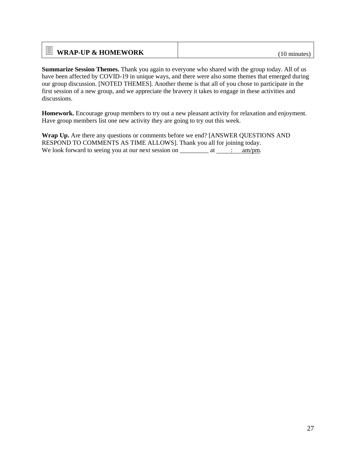| $\equiv$ WRAP-UP & HOMEWORK | $(10 \text{ minutes})$ |
|-----------------------------|------------------------|
|-----------------------------|------------------------|

**Summarize Session Themes.** Thank you again to everyone who shared with the group today. All of us have been affected by COVID-19 in unique ways, and there were also some themes that emerged during our group discussion. [NOTED THEMES]. Another theme is that all of you chose to participate in the first session of a new group, and we appreciate the bravery it takes to engage in these activities and discussions.

**Homework.** Encourage group members to try out a new pleasant activity for relaxation and enjoyment. Have group members list one new activity they are going to try out this week.

**Wrap Up.** Are there any questions or comments before we end? [ANSWER QUESTIONS AND RESPOND TO COMMENTS AS TIME ALLOWS]. Thank you all for joining today. We look forward to seeing you at our next session on  $\frac{\ }{\ }$  at  $\frac{\ }{\ }$  : am/pm.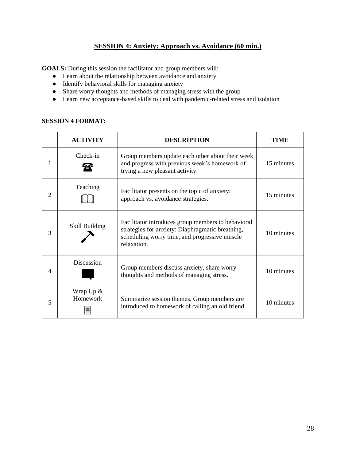### **SESSION 4: Anxiety: Approach vs. Avoidance (60 min.)**

**GOALS:** During this session the facilitator and group members will:

- Learn about the relationship between avoidance and anxiety
- Identify behavioral skills for managing anxiety
- Share worry thoughts and methods of managing stress with the group
- Learn new acceptance-based skills to deal with pandemic-related stress and isolation

### **SESSION 4 FORMAT:**

|   | <b>ACTIVITY</b>          | <b>DESCRIPTION</b>                                                                                                                                                     | TIME       |
|---|--------------------------|------------------------------------------------------------------------------------------------------------------------------------------------------------------------|------------|
| 1 | Check-in                 | Group members update each other about their week<br>and progress with previous week's homework of<br>trying a new pleasant activity.                                   | 15 minutes |
| 2 | Teaching                 | Facilitator presents on the topic of anxiety:<br>approach vs. avoidance strategies.                                                                                    | 15 minutes |
| 3 | Skill Building           | Facilitator introduces group members to behavioral<br>strategies for anxiety: Diaphragmatic breathing,<br>scheduling worry time, and progressive muscle<br>relaxation. | 10 minutes |
| 4 | <b>Discussion</b>        | Group members discuss anxiety, share worry<br>thoughts and methods of managing stress.                                                                                 | 10 minutes |
| 5 | Wrap $Up \&$<br>Homework | Summarize session themes. Group members are<br>introduced to homework of calling an old friend.                                                                        | 10 minutes |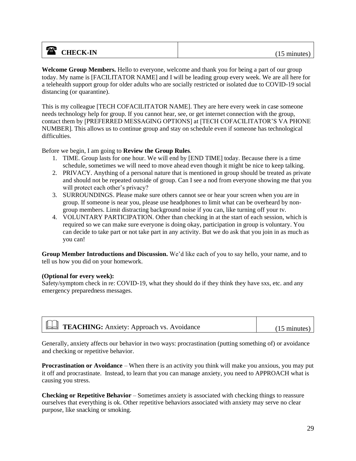### **a** CHECK-IN (15 minutes)

**Welcome Group Members.** Hello to everyone, welcome and thank you for being a part of our group today. My name is [FACILITATOR NAME] and I will be leading group every week. We are all here for a telehealth support group for older adults who are socially restricted or isolated due to COVID-19 social distancing (or quarantine).

This is my colleague [TECH COFACILITATOR NAME]. They are here every week in case someone needs technology help for group. If you cannot hear, see, or get internet connection with the group, contact them by [PREFERRED MESSAGING OPTIONS] at [TECH COFACILITATOR'S VA PHONE NUMBER]. This allows us to continue group and stay on schedule even if someone has technological difficulties.

Before we begin, I am going to **Review the Group Rules**.

- 1. TIME. Group lasts for one hour. We will end by [END TIME] today. Because there is a time schedule, sometimes we will need to move ahead even though it might be nice to keep talking.
- 2. PRIVACY. Anything of a personal nature that is mentioned in group should be treated as private and should not be repeated outside of group. Can I see a nod from everyone showing me that you will protect each other's privacy?
- 3. SURROUNDINGS. Please make sure others cannot see or hear your screen when you are in group. If someone is near you, please use headphones to limit what can be overheard by nongroup members. Limit distracting background noise if you can, like turning off your tv.
- 4. VOLUNTARY PARTICIPATION. Other than checking in at the start of each session, which is required so we can make sure everyone is doing okay, participation in group is voluntary. You can decide to take part or not take part in any activity. But we do ask that you join in as much as you can!

**Group Member Introductions and Discussion.** We'd like each of you to say hello, your name, and to tell us how you did on your homework.

### **(Optional for every week):**

Safety/symptom check in re: COVID-19, what they should do if they think they have sxs, etc. and any emergency preparedness messages.

| <b>EM</b> TEACHING: Anxiety: Approach vs. Avoidance | $(15 \text{ minutes})$ |
|-----------------------------------------------------|------------------------|
|                                                     |                        |

Generally, anxiety affects our behavior in two ways: procrastination (putting something of) or avoidance and checking or repetitive behavior.

**Procrastination or Avoidance** – When there is an activity you think will make you anxious, you may put it off and procrastinate. Instead, to learn that you can manage anxiety, you need to APPROACH what is causing you stress.

**Checking or Repetitive Behavior** – Sometimes anxiety is associated with checking things to reassure ourselves that everything is ok. Other repetitive behaviors associated with anxiety may serve no clear purpose, like snacking or smoking.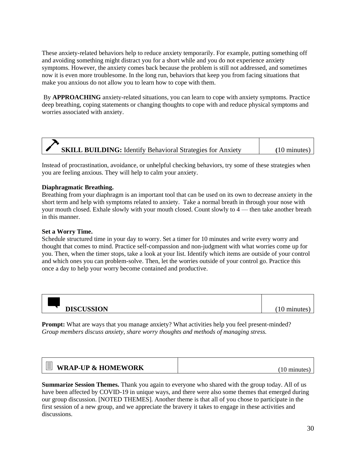These anxiety-related behaviors help to reduce anxiety temporarily. For example, putting something off and avoiding something might distract you for a short while and you do not experience anxiety symptoms. However, the anxiety comes back because the problem is still not addressed, and sometimes now it is even more troublesome. In the long run, behaviors that keep you from facing situations that make you anxious do not allow you to learn how to cope with them.

By **APPROACHING** anxiety-related situations, you can learn to cope with anxiety symptoms. Practice deep breathing, coping statements or changing thoughts to cope with and reduce physical symptoms and worries associated with anxiety.

|  | <b>SKILL BUILDING:</b> Identify Behavioral Strategies for Anxiety | $(10 \text{ minutes})$ |
|--|-------------------------------------------------------------------|------------------------|

Instead of procrastination, avoidance, or unhelpful checking behaviors, try some of these strategies when you are feeling anxious. They will help to calm your anxiety.

#### **Diaphragmatic Breathing.**

Breathing from your diaphragm is an important tool that can be used on its own to decrease anxiety in the short term and help with symptoms related to anxiety. Take a normal breath in through your nose with your mouth closed. Exhale slowly with your mouth closed. Count slowly to 4 — then take another breath in this manner.

#### **Set a Worry Time.**

↽

Schedule structured time in your day to worry. Set a timer for 10 minutes and write every worry and thought that comes to mind. Practice self-compassion and non-judgment with what worries come up for you. Then, when the timer stops, take a look at your list. Identify which items are outside of your control and which ones you can problem-solve. Then, let the worries outside of your control go. Practice this once a day to help your worry become contained and productive.

| <b>DISCUSSION</b> | 1 <sub>0</sub><br>$. \text{max}$<br><br>◡ |
|-------------------|-------------------------------------------|

**Prompt:** What are ways that you manage anxiety? What activities help you feel present-minded? *Group members discuss anxiety, share worry thoughts and methods of managing stress.* 

| $=$<br>昌<br><b>WRAP-UP &amp; HOMEWORK</b> | minii. |
|-------------------------------------------|--------|
|-------------------------------------------|--------|

**Summarize Session Themes.** Thank you again to everyone who shared with the group today. All of us have been affected by COVID-19 in unique ways, and there were also some themes that emerged during our group discussion. [NOTED THEMES]. Another theme is that all of you chose to participate in the first session of a new group, and we appreciate the bravery it takes to engage in these activities and discussions.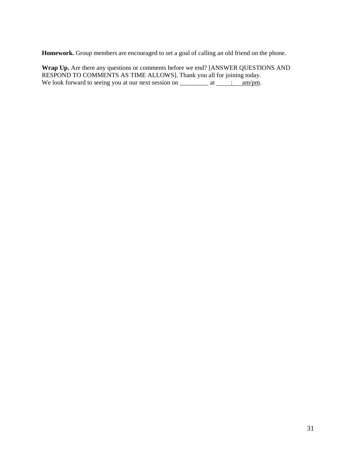**Homework.** Group members are encouraged to set a goal of calling an old friend on the phone.

**Wrap Up.** Are there any questions or comments before we end? [ANSWER QUESTIONS AND RESPOND TO COMMENTS AS TIME ALLOWS]. Thank you all for joining today. We look forward to seeing you at our next session on  $\frac{\ }{2}$  at  $\frac{\ }{2}$  am/pm.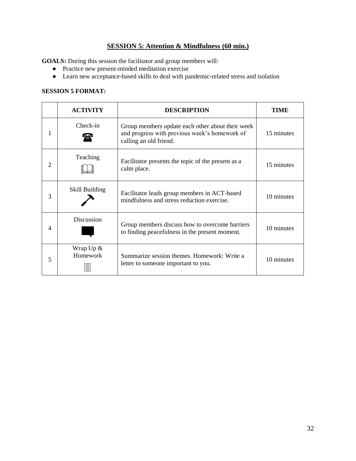### **SESSION 5: Attention & Mindfulness (60 min.)**

**GOALS:** During this session the facilitator and group members will:

- Practice new present-minded meditation exercise
- Learn new acceptance-based skills to deal with pandemic-related stress and isolation

#### **SESSION 5 FORMAT:**

|                | <b>ACTIVITY</b>         | <b>DESCRIPTION</b>                                                                                                          | TIME       |
|----------------|-------------------------|-----------------------------------------------------------------------------------------------------------------------------|------------|
|                | Check-in                | Group members update each other about their week<br>and progress with previous week's homework of<br>calling an old friend. | 15 minutes |
| 2              | Teaching                | Facilitator presents the topic of the present as a<br>calm place.                                                           | 15 minutes |
| 3              | Skill Building          | Facilitator leads group members in ACT-based<br>mindfulness and stress reduction exercise.                                  | 10 minutes |
| $\overline{4}$ | <b>Discussion</b>       | Group members discuss how to overcome barriers<br>to finding peacefulness in the present moment.                            | 10 minutes |
| 5              | Wrap $Up &$<br>Homework | Summarize session themes. Homework: Write a<br>letter to some one important to you.                                         | 10 minutes |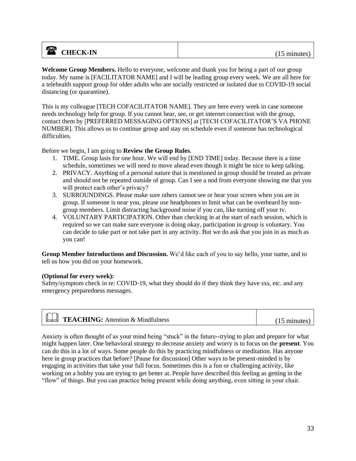### **a** CHECK-IN (15 minutes)

**Welcome Group Members.** Hello to everyone, welcome and thank you for being a part of our group today. My name is [FACILITATOR NAME] and I will be leading group every week. We are all here for a telehealth support group for older adults who are socially restricted or isolated due to COVID-19 social distancing (or quarantine).

This is my colleague [TECH COFACILITATOR NAME]. They are here every week in case someone needs technology help for group. If you cannot hear, see, or get internet connection with the group, contact them by [PREFERRED MESSAGING OPTIONS] at [TECH COFACILITATOR'S VA PHONE NUMBER]. This allows us to continue group and stay on schedule even if someone has technological difficulties.

Before we begin, I am going to **Review the Group Rules**.

- 1. TIME. Group lasts for one hour. We will end by [END TIME] today. Because there is a time schedule, sometimes we will need to move ahead even though it might be nice to keep talking.
- 2. PRIVACY. Anything of a personal nature that is mentioned in group should be treated as private and should not be repeated outside of group. Can I see a nod from everyone showing me that you will protect each other's privacy?
- 3. SURROUNDINGS. Please make sure others cannot see or hear your screen when you are in group. If someone is near you, please use headphones to limit what can be overheard by nongroup members. Limit distracting background noise if you can, like turning off your tv.
- 4. VOLUNTARY PARTICIPATION. Other than checking in at the start of each session, which is required so we can make sure everyone is doing okay, participation in group is voluntary. You can decide to take part or not take part in any activity. But we do ask that you join in as much as you can!

**Group Member Introductions and Discussion.** We'd like each of you to say hello, your name, and to tell us how you did on your homework.

### **(Optional for every week):**

Safety/symptom check in re: COVID-19, what they should do if they think they have sxs, etc. and any emergency preparedness messages.

| <b>Example:</b> Attention & Mindfulness | $(15 \text{ minutes})$ |
|-----------------------------------------|------------------------|
|                                         |                        |

Anxiety is often thought of as your mind being "stuck" in the future--trying to plan and prepare for what might happen later. One behavioral strategy to decrease anxiety and worry is to focus on the **present**. You can do this in a lot of ways. Some people do this by practicing mindfulness or meditation. Has anyone here in group practices that before? [Pause for discussion] Other ways to be present-minded is by engaging in activities that take your full focus. Sometimes this is a fun or challenging activity, like working on a hobby you are trying to get better at. People have described this feeling as getting in the "flow" of things. But you can practice being present while doing anything, even sitting in your chair.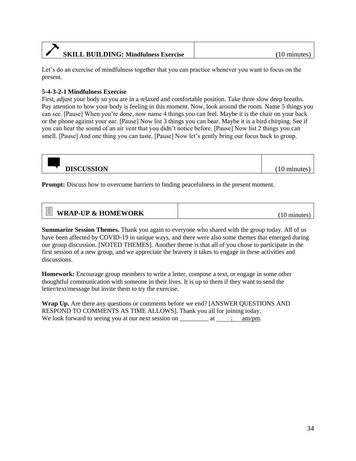| <b>SKILL BUILDING: Mindfulness Exercise</b> | $(10 \text{ minutes})$ |
|---------------------------------------------|------------------------|

Let's do an exercise of mindfulness together that you can practice whenever you want to focus on the present.

### **5-4-3-2-1 Mindfulness Exercise**

First, adjust your body so you are in a relaxed and comfortable position. Take three slow deep breaths. Pay attention to how your body is feeling in this moment. Now, look around the room. Name 5 things you can see. [Pause] When you're done, now name 4 things you can feel. Maybe it is the chair on your back or the phone against your ear. [Pause] Now list 3 things you can hear. Maybe it is a bird chirping. See if you can hear the sound of an air vent that you didn't notice before. [Pause] Now list 2 things you can smell. [Pause] And one thing you can taste. [Pause] Now let's gently bring our focus back to group.

| <b>DISCUSSION</b> | , minutes |
|-------------------|-----------|

**Prompt:** Discuss how to overcome barriers to finding peacefulness in the present moment.

| Έı<br><b>WRAP-UP &amp; HOMEWORK</b> | minutes |
|-------------------------------------|---------|
|-------------------------------------|---------|

**Summarize Session Themes.** Thank you again to everyone who shared with the group today. All of us have been affected by COVID-19 in unique ways, and there were also some themes that emerged during our group discussion. [NOTED THEMES]. Another theme is that all of you chose to participate in the first session of a new group, and we appreciate the bravery it takes to engage in these activities and discussions.

**Homework:** Encourage group members to write a letter, compose a text, or engage in some other thoughtful communication with someone in their lives. It is up to them if they want to send the letter/text/message but invite them to try the exercise.

**Wrap Up.** Are there any questions or comments before we end? [ANSWER QUESTIONS AND RESPOND TO COMMENTS AS TIME ALLOWS]. Thank you all for joining today. We look forward to seeing you at our next session on  $\frac{\ }{\ }$  at  $\frac{\ }{\ }$  : am/pm.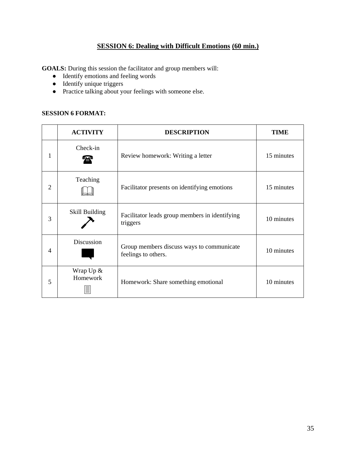### **SESSION 6: Dealing with Difficult Emotions (60 min.)**

**GOALS:** During this session the facilitator and group members will:

- Identify emotions and feeling words
- Identify unique triggers
- Practice talking about your feelings with someone else.

### **SESSION 6 FORMAT:**

|                | <b>ACTIVITY</b>       | <b>DESCRIPTION</b>                                               | TIME       |
|----------------|-----------------------|------------------------------------------------------------------|------------|
| 1              | Check-in              | Review homework: Writing a letter                                | 15 minutes |
| $\overline{2}$ | Teaching              | Facilitator presents on identifying emotions                     | 15 minutes |
| 3              | <b>Skill Building</b> | Facilitator leads group members in identifying<br>triggers       | 10 minutes |
| 4              | Discussion            | Group members discuss ways to communicate<br>feelings to others. | 10 minutes |
| 5              | Wrap Up &<br>Homework | Homework: Share something emotional                              | 10 minutes |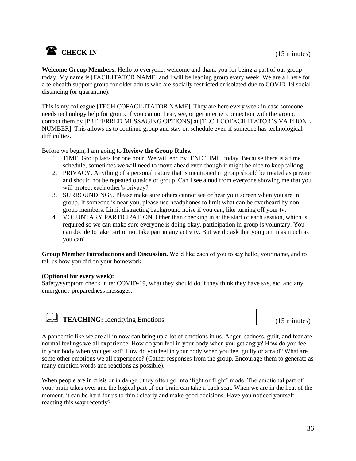### **a** CHECK-IN (15 minutes)

**Welcome Group Members.** Hello to everyone, welcome and thank you for being a part of our group today. My name is [FACILITATOR NAME] and I will be leading group every week. We are all here for a telehealth support group for older adults who are socially restricted or isolated due to COVID-19 social distancing (or quarantine).

This is my colleague [TECH COFACILITATOR NAME]. They are here every week in case someone needs technology help for group. If you cannot hear, see, or get internet connection with the group, contact them by [PREFERRED MESSAGING OPTIONS] at [TECH COFACILITATOR'S VA PHONE NUMBER]. This allows us to continue group and stay on schedule even if someone has technological difficulties.

Before we begin, I am going to **Review the Group Rules**.

- 1. TIME. Group lasts for one hour. We will end by [END TIME] today. Because there is a time schedule, sometimes we will need to move ahead even though it might be nice to keep talking.
- 2. PRIVACY. Anything of a personal nature that is mentioned in group should be treated as private and should not be repeated outside of group. Can I see a nod from everyone showing me that you will protect each other's privacy?
- 3. SURROUNDINGS. Please make sure others cannot see or hear your screen when you are in group. If someone is near you, please use headphones to limit what can be overheard by nongroup members. Limit distracting background noise if you can, like turning off your tv.
- 4. VOLUNTARY PARTICIPATION. Other than checking in at the start of each session, which is required so we can make sure everyone is doing okay, participation in group is voluntary. You can decide to take part or not take part in any activity. But we do ask that you join in as much as you can!

**Group Member Introductions and Discussion.** We'd like each of you to say hello, your name, and to tell us how you did on your homework.

### **(Optional for every week):**

Safety/symptom check in re: COVID-19, what they should do if they think they have sxs, etc. and any emergency preparedness messages.

| <b>Example:</b> Identifying Emotions | $(15 \text{ minutes})$ |
|--------------------------------------|------------------------|
|--------------------------------------|------------------------|

A pandemic like we are all in now can bring up a lot of emotions in us. Anger, sadness, guilt, and fear are normal feelings we all experience. How do you feel in your body when you get angry? How do you feel in your body when you get sad? How do you feel in your body when you feel guilty or afraid? What are some other emotions we all experience? (Gather responses from the group. Encourage them to generate as many emotion words and reactions as possible).

When people are in crisis or in danger, they often go into 'fight or flight' mode. The emotional part of your brain takes over and the logical part of our brain can take a back seat. When we are in the heat of the moment, it can be hard for us to think clearly and make good decisions. Have you noticed yourself reacting this way recently?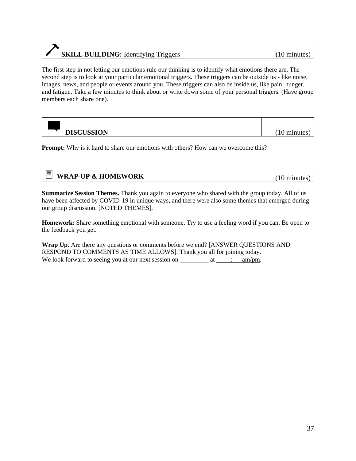# **SKILL BUILDING:** Identifying Triggers (10 minutes)

The first step in not letting our emotions rule our thinking is to identify what emotions there are. The second step is to look at your particular emotional triggers. These triggers can be outside us - like noise, images, news, and people or events around you. These triggers can also be inside us, like pain, hunger, and fatigue. Take a few minutes to think about or write down some of your personal triggers. (Have group members each share one).

| <b>DISCUSSION</b> | m1n |
|-------------------|-----|

**Prompt:** Why is it hard to share our emotions with others? How can we overcome this?

| $\equiv$ WRAP-UP & HOMEWORK | $(10 \text{ minutes})$ |
|-----------------------------|------------------------|
|-----------------------------|------------------------|

**Summarize Session Themes.** Thank you again to everyone who shared with the group today. All of us have been affected by COVID-19 in unique ways, and there were also some themes that emerged during our group discussion. [NOTED THEMES].

**Homework:** Share something emotional with someone. Try to use a feeling word if you can. Be open to the feedback you get.

**Wrap Up.** Are there any questions or comments before we end? [ANSWER QUESTIONS AND RESPOND TO COMMENTS AS TIME ALLOWS]. Thank you all for joining today. We look forward to seeing you at our next session on  $\frac{\ }{\ }$  at  $\frac{\ }{\ }$  : am/pm.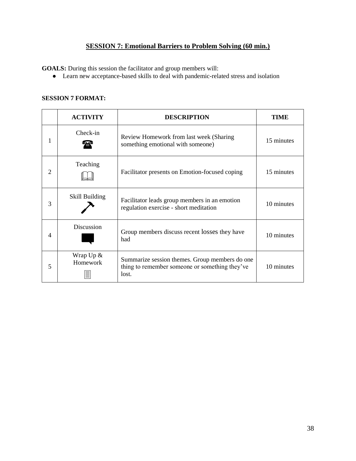### **SESSION 7: Emotional Barriers to Problem Solving (60 min.)**

**GOALS:** During this session the facilitator and group members will:

● Learn new acceptance-based skills to deal with pandemic-related stress and isolation

### **SESSION 7 FORMAT:**

|                | <b>ACTIVITY</b>         | <b>DESCRIPTION</b>                                                                                        | TIME       |
|----------------|-------------------------|-----------------------------------------------------------------------------------------------------------|------------|
| 1              | Check-in                | Review Homework from last week (Sharing<br>something emotional with someone)                              | 15 minutes |
| $\overline{2}$ | Teaching                | Facilitator presents on Emotion-focused coping                                                            | 15 minutes |
| 3              | Skill Building          | Facilitator leads group members in an emotion<br>regulation exercise - short meditation                   | 10 minutes |
| $\overline{4}$ | <b>Discussion</b>       | Group members discuss recent losses they have<br>had                                                      | 10 minutes |
| 5              | Wrap $Up &$<br>Homework | Summarize session themes. Group members do one<br>thing to remember someone or something they've<br>lost. | 10 minutes |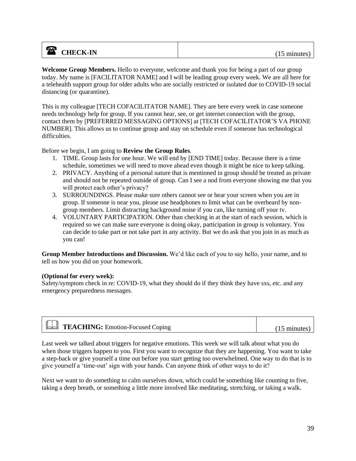### **a** CHECK-IN (15 minutes)

**Welcome Group Members.** Hello to everyone, welcome and thank you for being a part of our group today. My name is [FACILITATOR NAME] and I will be leading group every week. We are all here for a telehealth support group for older adults who are socially restricted or isolated due to COVID-19 social distancing (or quarantine).

This is my colleague [TECH COFACILITATOR NAME]. They are here every week in case someone needs technology help for group. If you cannot hear, see, or get internet connection with the group, contact them by [PREFERRED MESSAGING OPTIONS] at [TECH COFACILITATOR'S VA PHONE NUMBER]. This allows us to continue group and stay on schedule even if someone has technological difficulties.

Before we begin, I am going to **Review the Group Rules**.

- 1. TIME. Group lasts for one hour. We will end by [END TIME] today. Because there is a time schedule, sometimes we will need to move ahead even though it might be nice to keep talking.
- 2. PRIVACY. Anything of a personal nature that is mentioned in group should be treated as private and should not be repeated outside of group. Can I see a nod from everyone showing me that you will protect each other's privacy?
- 3. SURROUNDINGS. Please make sure others cannot see or hear your screen when you are in group. If someone is near you, please use headphones to limit what can be overheard by nongroup members. Limit distracting background noise if you can, like turning off your tv.
- 4. VOLUNTARY PARTICIPATION. Other than checking in at the start of each session, which is required so we can make sure everyone is doing okay, participation in group is voluntary. You can decide to take part or not take part in any activity. But we do ask that you join in as much as you can!

**Group Member Introductions and Discussion.** We'd like each of you to say hello, your name, and to tell us how you did on your homework.

### **(Optional for every week):**

Safety/symptom check in re: COVID-19, what they should do if they think they have sxs, etc. and any emergency preparedness messages.

| <b>Example:</b> Emotion-Focused Coping<br>15 minutes |
|------------------------------------------------------|
|------------------------------------------------------|

Last week we talked about triggers for negative emotions. This week we will talk about what you do when those triggers happen to you. First you want to recognize that they are happening. You want to take a step-back or give yourself a time out before you start getting too overwhelmed. One way to do that is to give yourself a 'time-out' sign with your hands. Can anyone think of other ways to do it?

Next we want to do something to calm ourselves down, which could be something like counting to five, taking a deep breath, or something a little more involved like meditating, stretching, or taking a walk.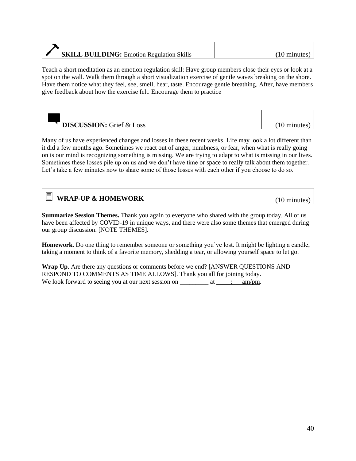# **SKILL BUILDING:** Emotion Regulation Skills **(**10 minutes)

Teach a short meditation as an emotion regulation skill: Have group members close their eyes or look at a spot on the wall. Walk them through a short visualization exercise of gentle waves breaking on the shore. Have them notice what they feel, see, smell, hear, taste. Encourage gentle breathing. After, have members give feedback about how the exercise felt. Encourage them to practice

| <b>DISCUSSION:</b> Grief & Loss | minutes |
|---------------------------------|---------|

Many of us have experienced changes and losses in these recent weeks. Life may look a lot different than it did a few months ago. Sometimes we react out of anger, numbness, or fear, when what is really going on is our mind is recognizing something is missing. We are trying to adapt to what is missing in our lives. Sometimes these losses pile up on us and we don't have time or space to really talk about them together. Let's take a few minutes now to share some of those losses with each other if you choose to do so.

| minutes |
|---------|
|         |

**Summarize Session Themes.** Thank you again to everyone who shared with the group today. All of us have been affected by COVID-19 in unique ways, and there were also some themes that emerged during our group discussion. [NOTE THEMES].

**Homework.** Do one thing to remember someone or something you've lost. It might be lighting a candle, taking a moment to think of a favorite memory, shedding a tear, or allowing yourself space to let go.

**Wrap Up.** Are there any questions or comments before we end? [ANSWER QUESTIONS AND RESPOND TO COMMENTS AS TIME ALLOWS]. Thank you all for joining today. We look forward to seeing you at our next session on  $\frac{\ }{\ }$  at  $\frac{\ }{\ }$  : am/pm.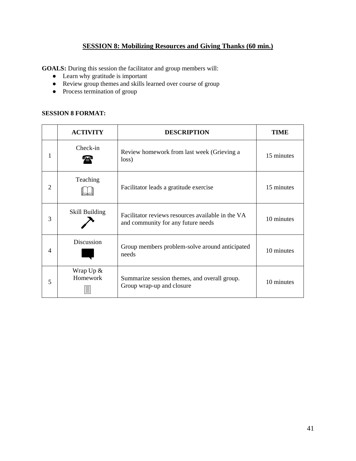### **SESSION 8: Mobilizing Resources and Giving Thanks (60 min.)**

**GOALS:** During this session the facilitator and group members will:

- Learn why gratitude is important
- Review group themes and skills learned over course of group
- Process termination of group

### **SESSION 8 FORMAT:**

|                | <b>ACTIVITY</b>              | <b>DESCRIPTION</b>                                                                      | TIME       |
|----------------|------------------------------|-----------------------------------------------------------------------------------------|------------|
| 1              | Check-in<br>₩                | Review homework from last week (Grieving a<br>loss)                                     | 15 minutes |
| 2              | Teaching                     | Facilitator leads a gratitude exercise                                                  | 15 minutes |
| 3              | Skill Building               | Facilitator reviews resources available in the VA<br>and community for any future needs | 10 minutes |
| $\overline{4}$ | Discussion                   | Group members problem-solve around anticipated<br>needs                                 | 10 minutes |
| 5              | Wrap $Up &$<br>Homework<br>亖 | Summarize session themes, and overall group.<br>Group wrap-up and closure               | 10 minutes |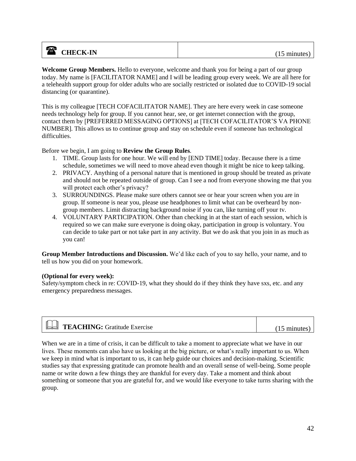### **a** CHECK-IN (15 minutes)

**Welcome Group Members.** Hello to everyone, welcome and thank you for being a part of our group today. My name is [FACILITATOR NAME] and I will be leading group every week. We are all here for a telehealth support group for older adults who are socially restricted or isolated due to COVID-19 social distancing (or quarantine).

This is my colleague [TECH COFACILITATOR NAME]. They are here every week in case someone needs technology help for group. If you cannot hear, see, or get internet connection with the group, contact them by [PREFERRED MESSAGING OPTIONS] at [TECH COFACILITATOR'S VA PHONE NUMBER]. This allows us to continue group and stay on schedule even if someone has technological difficulties.

Before we begin, I am going to **Review the Group Rules**.

- 1. TIME. Group lasts for one hour. We will end by [END TIME] today. Because there is a time schedule, sometimes we will need to move ahead even though it might be nice to keep talking.
- 2. PRIVACY. Anything of a personal nature that is mentioned in group should be treated as private and should not be repeated outside of group. Can I see a nod from everyone showing me that you will protect each other's privacy?
- 3. SURROUNDINGS. Please make sure others cannot see or hear your screen when you are in group. If someone is near you, please use headphones to limit what can be overheard by nongroup members. Limit distracting background noise if you can, like turning off your tv.
- 4. VOLUNTARY PARTICIPATION. Other than checking in at the start of each session, which is required so we can make sure everyone is doing okay, participation in group is voluntary. You can decide to take part or not take part in any activity. But we do ask that you join in as much as you can!

**Group Member Introductions and Discussion.** We'd like each of you to say hello, your name, and to tell us how you did on your homework.

#### **(Optional for every week):**

Safety/symptom check in re: COVID-19, what they should do if they think they have sxs, etc. and any emergency preparedness messages.

| $\mathbb{L}$<br><b>TEACHING:</b> Gratitude Exercise | minutes |
|-----------------------------------------------------|---------|
|                                                     |         |

When we are in a time of crisis, it can be difficult to take a moment to appreciate what we have in our lives. These moments can also have us looking at the big picture, or what's really important to us. When we keep in mind what is important to us, it can help guide our choices and decision-making. Scientific studies say that expressing gratitude can promote health and an overall sense of well-being. Some people name or write down a few things they are thankful for every day. Take a moment and think about something or someone that you are grateful for, and we would like everyone to take turns sharing with the group.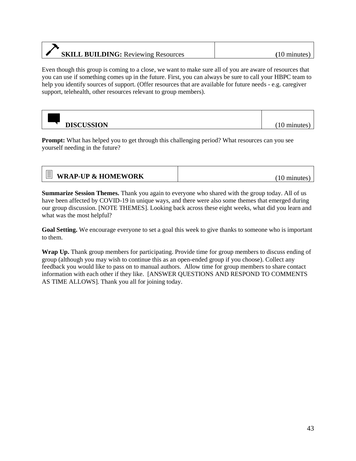### **SKILL BUILDING:** Reviewing Resources (10 minutes)

Even though this group is coming to a close, we want to make sure all of you are aware of resources that you can use if something comes up in the future. First, you can always be sure to call your HBPC team to help you identify sources of support. (Offer resources that are available for future needs - e.g. caregiver support, telehealth, other resources relevant to group members).

**DISCUSSION** (10 minutes)

**Prompt:** What has helped you to get through this challenging period? What resources can you see yourself needing in the future?

| <b>WRAP-UP &amp; HOMEWORK</b> | $(10 \text{ minutes})$ |
|-------------------------------|------------------------|
|-------------------------------|------------------------|

**Summarize Session Themes.** Thank you again to everyone who shared with the group today. All of us have been affected by COVID-19 in unique ways, and there were also some themes that emerged during our group discussion. [NOTE THEMES]. Looking back across these eight weeks, what did you learn and what was the most helpful?

**Goal Setting.** We encourage everyone to set a goal this week to give thanks to someone who is important to them.

**Wrap Up.** Thank group members for participating. Provide time for group members to discuss ending of group (although you may wish to continue this as an open-ended group if you choose). Collect any feedback you would like to pass on to manual authors. Allow time for group members to share contact information with each other if they like. [ANSWER QUESTIONS AND RESPOND TO COMMENTS AS TIME ALLOWS]. Thank you all for joining today.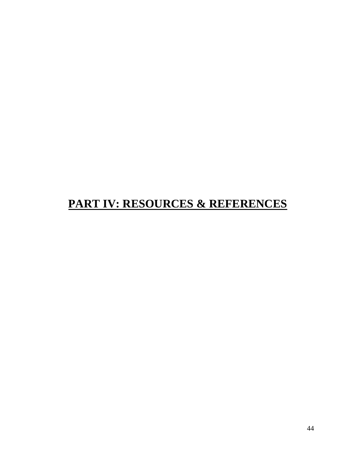# **PART IV: RESOURCES & REFERENCES**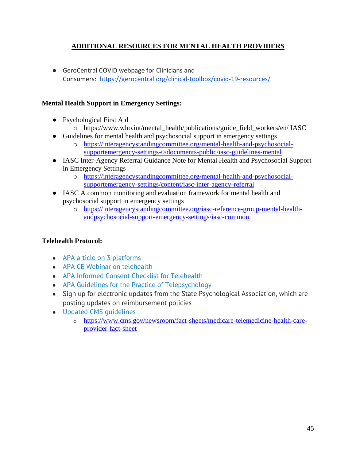### **ADDITIONAL RESOURCES FOR MENTAL HEALTH PROVIDERS**

● GeroCentral COVID webpage for Clinicians and Consumers: <https://gerocentral.org/clinical-toolbox/covid-19-resources/>

### **Mental Health Support in Emergency Settings:**

- Psychological First Aid
	- o https://www.who.int/mental\_health/publications/guide\_field\_workers/en/ IASC
- Guidelines for mental health and psychosocial support in emergency settings
	- o [https://interagencystandingcommittee.org/mental-health-and-psychosocial](https://interagencystandingcommittee.org/mental-health-and-psychosocial-supportemergency-settings-0/documents-public/iasc-guidelines-mental)[supportemergency-settings-0/documents-public/iasc-guidelines-mental](https://interagencystandingcommittee.org/mental-health-and-psychosocial-supportemergency-settings-0/documents-public/iasc-guidelines-mental)
- IASC Inter-Agency Referral Guidance Note for Mental Health and Psychosocial Support in Emergency Settings
	- o [https://interagencystandingcommittee.org/mental-health-and-psychosocial](https://interagencystandingcommittee.org/mental-health-and-psychosocial-supportemergency-settings/content/iasc-inter-agency-referral)[supportemergency-settings/content/iasc-inter-agency-referral](https://interagencystandingcommittee.org/mental-health-and-psychosocial-supportemergency-settings/content/iasc-inter-agency-referral)
- IASC A common monitoring and evaluation framework for mental health and psychosocial support in emergency settings
	- o [https://interagencystandingcommittee.org/iasc-reference-group-mental-health](https://interagencystandingcommittee.org/iasc-reference-group-mental-health-andpsychosocial-support-emergency-settings/iasc-common)[andpsychosocial-support-emergency-settings/iasc-common](https://interagencystandingcommittee.org/iasc-reference-group-mental-health-andpsychosocial-support-emergency-settings/iasc-common)

### **Telehealth Protocol:**

- [APA article on 3 platforms](https://www.apaservices.org/practice/business/technology/tech-column/telehealth-solutions)
- [APA CE Webinar on telehealth](https://apa.content.online/catalog/product.xhtml?eid=15132)
- [APA Informed Consent Checklist for Telehealth](https://www.apa.org/practice/programs/dmhi/research-information/telepsychological-services-checklist)
- [APA Guidelines for the Practice of Telepsychology](https://www.apa.org/pubs/journals/features/amp-a0035001.pdf)
- Sign up for electronic updates from the State Psychological Association, which are posting updates on reimbursement policies
- Updated CMS quidelines
	- o [https://www.cms.gov/newsroom/fact-sheets/medicare-telemedicine-health-care](https://www.cms.gov/newsroom/fact-sheets/medicare-telemedicine-health-care-provider-fact-sheet)[provider-fact-sheet](https://www.cms.gov/newsroom/fact-sheets/medicare-telemedicine-health-care-provider-fact-sheet)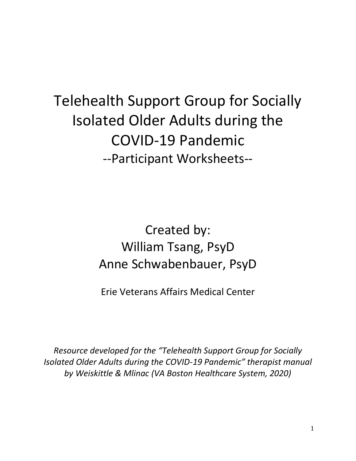Telehealth Support Group for Socially Isolated Older Adults during the COVID-19 Pandemic --Participant Worksheets--

> Created by: William Tsang, PsyD Anne Schwabenbauer, PsyD

Erie Veterans Affairs Medical Center

*Resource developed for the "Telehealth Support Group for Socially Isolated Older Adults during the COVID-19 Pandemic" therapist manual by Weiskittle & Mlinac (VA Boston Healthcare System, 2020)*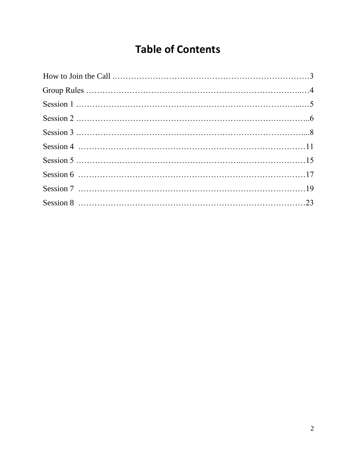# **Table of Contents**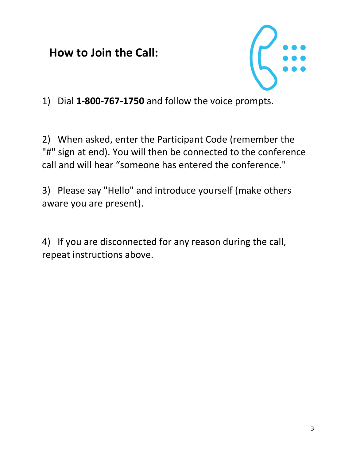**How to Join the Call:**



1) Dial **1-800-767-1750** and follow the voice prompts.

2) When asked, enter the Participant Code (remember the "#" sign at end). You will then be connected to the conference call and will hear "someone has entered the conference."

3) Please say "Hello" and introduce yourself (make others aware you are present).

4) If you are disconnected for any reason during the call, repeat instructions above.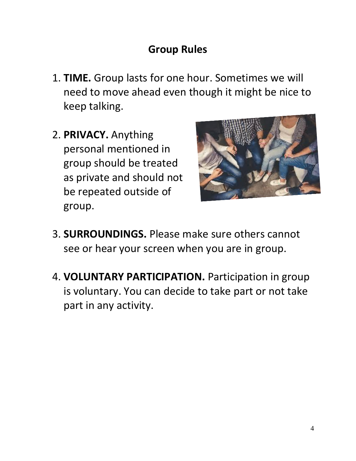# **Group Rules**

- 1. **TIME.** Group lasts for one hour. Sometimes we will need to move ahead even though it might be nice to keep talking.
- 2. **PRIVACY.** Anything personal mentioned in group should be treated as private and should not be repeated outside of group.



- 3. **SURROUNDINGS.** Please make sure others cannot see or hear your screen when you are in group.
- 4. **VOLUNTARY PARTICIPATION.** Participation in group is voluntary. You can decide to take part or not take part in any activity.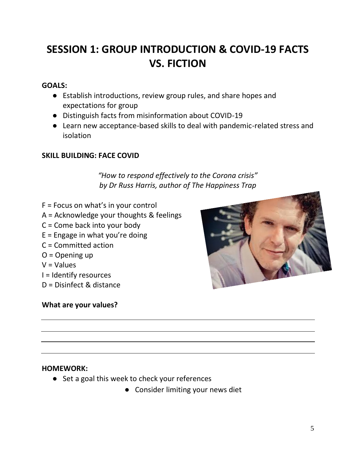# **SESSION 1: GROUP INTRODUCTION & COVID-19 FACTS VS. FICTION**

### **GOALS:**

- Establish introductions, review group rules, and share hopes and expectations for group
- Distinguish facts from misinformation about COVID-19
- Learn new acceptance-based skills to deal with pandemic-related stress and isolation

### **SKILL BUILDING: FACE COVID**

*"How to respond effectively to the Corona crisis" by Dr Russ Harris, author of The Happiness Trap* 

- $F =$  Focus on what's in your control
- A = Acknowledge your thoughts & feelings
- C = Come back into your body
- $E =$  Engage in what you're doing
- C = Committed action
- $O =$ Opening up
- $V =$  Values
- I = Identify resources
- D = Disinfect & distance

### **What are your values?**



### **HOMEWORK:**

- Set a goal this week to check your references
	- Consider limiting your news diet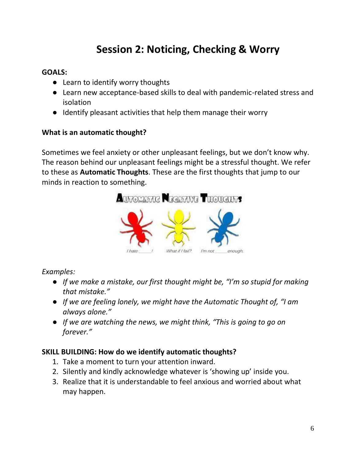# **Session 2: Noticing, Checking & Worry**

### **GOALS:**

- Learn to identify worry thoughts
- Learn new acceptance-based skills to deal with pandemic-related stress and isolation
- Identify pleasant activities that help them manage their worry

### **What is an automatic thought?**

Sometimes we feel anxiety or other unpleasant feelings, but we don't know why. The reason behind our unpleasant feelings might be a stressful thought. We refer to these as **Automatic Thoughts**. These are the first thoughts that jump to our minds in reaction to something.



### *Examples:*

- *If we make a mistake, our first thought might be, "I'm so stupid for making that mistake."*
- *If we are feeling lonely, we might have the Automatic Thought of, "I am always alone."*
- *If we are watching the news, we might think, "This is going to go on forever."*

### **SKILL BUILDING: How do we identify automatic thoughts?**

- 1. Take a moment to turn your attention inward.
- 2. Silently and kindly acknowledge whatever is 'showing up' inside you.
- 3. Realize that it is understandable to feel anxious and worried about what may happen.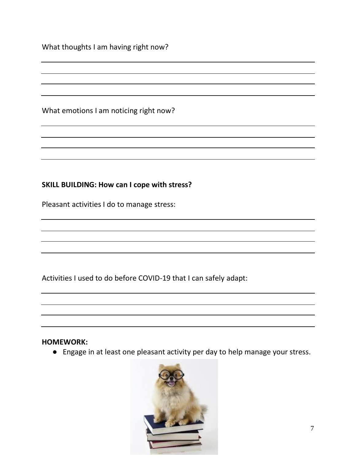What thoughts I am having right now?

What emotions I am noticing right now?

### **SKILL BUILDING: How can I cope with stress?**

Pleasant activities I do to manage stress:

Activities I used to do before COVID-19 that I can safely adapt:

### **HOMEWORK:**

● Engage in at least one pleasant activity per day to help manage your stress.

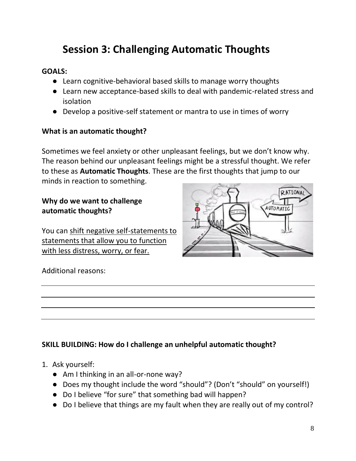# **Session 3: Challenging Automatic Thoughts**

### **GOALS:**

- Learn cognitive-behavioral based skills to manage worry thoughts
- Learn new acceptance-based skills to deal with pandemic-related stress and isolation
- Develop a positive-self statement or mantra to use in times of worry

### **What is an automatic thought?**

Sometimes we feel anxiety or other unpleasant feelings, but we don't know why. The reason behind our unpleasant feelings might be a stressful thought. We refer to these as **Automatic Thoughts**. These are the first thoughts that jump to our minds in reaction to something.

### **Why do we want to challenge automatic thoughts?**

You can shift negative self-statements to statements that allow you to function with less distress, worry, or fear.



### Additional reasons:

### **SKILL BUILDING: How do I challenge an unhelpful automatic thought?**

- 1. Ask yourself:
	- Am I thinking in an all-or-none way?
	- Does my thought include the word "should"? (Don't "should" on yourself!)
	- Do I believe "for sure" that something bad will happen?
	- Do I believe that things are my fault when they are really out of my control?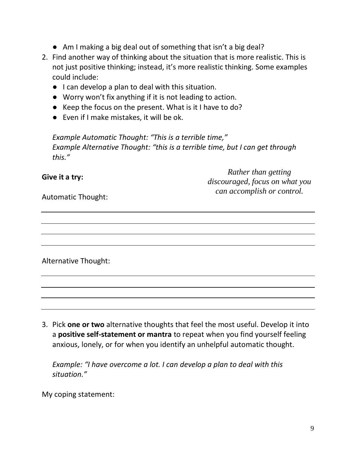- Am I making a big deal out of something that isn't a big deal?
- 2. Find another way of thinking about the situation that is more realistic. This is not just positive thinking; instead, it's more realistic thinking. Some examples could include:
	- I can develop a plan to deal with this situation.
	- Worry won't fix anything if it is not leading to action.
	- Keep the focus on the present. What is it I have to do?
	- Even if I make mistakes, it will be ok.

*Example Automatic Thought: "This is a terrible time," Example Alternative Thought: "this is a terrible time, but I can get through this."* 

| Give it a try:                                          | Rather than getting<br>discouraged, focus on what you |  |
|---------------------------------------------------------|-------------------------------------------------------|--|
| can accomplish or control.<br><b>Automatic Thought:</b> |                                                       |  |
|                                                         |                                                       |  |

Alternative Thought:

3. Pick **one or two** alternative thoughts that feel the most useful. Develop it into a **positive self-statement or mantra** to repeat when you find yourself feeling anxious, lonely, or for when you identify an unhelpful automatic thought.

*Example: "I have overcome a lot. I can develop a plan to deal with this situation."*

My coping statement: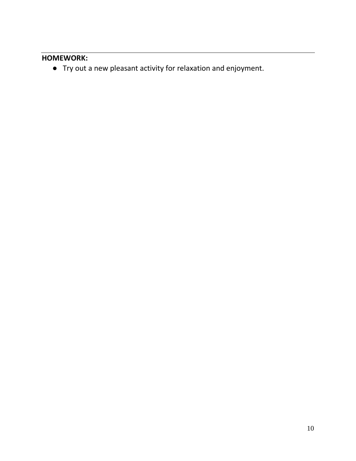### **HOMEWORK:**

● Try out a new pleasant activity for relaxation and enjoyment.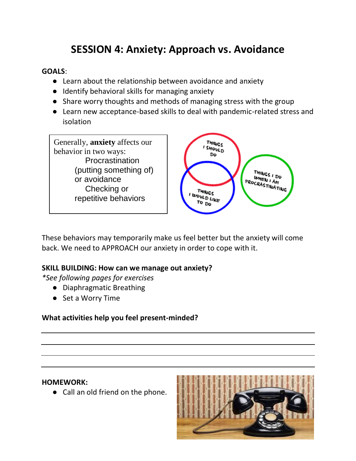# **SESSION 4: Anxiety: Approach vs. Avoidance**

### **GOALS**:

- Learn about the relationship between avoidance and anxiety
- Identify behavioral skills for managing anxiety
- Share worry thoughts and methods of managing stress with the group
- Learn new acceptance-based skills to deal with pandemic-related stress and isolation



These behaviors may temporarily make us feel better but the anxiety will come back. We need to APPROACH our anxiety in order to cope with it.

### **SKILL BUILDING: How can we manage out anxiety?**

*\*See following pages for exercises*

- Diaphragmatic Breathing
- Set a Worry Time

### **What activities help you feel present-minded?**

### **HOMEWORK:**

● Call an old friend on the phone.

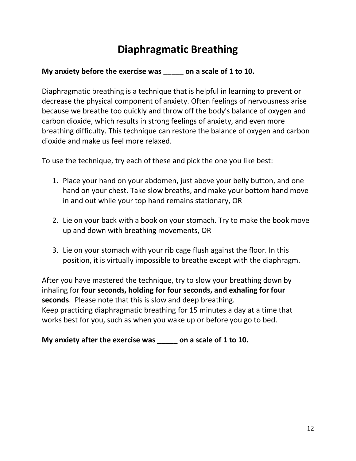# **Diaphragmatic Breathing**

### **My anxiety before the exercise was \_\_\_\_\_ on a scale of 1 to 10.**

Diaphragmatic breathing is a technique that is helpful in learning to prevent or decrease the physical component of anxiety. Often feelings of nervousness arise because we breathe too quickly and throw off the body's balance of oxygen and carbon dioxide, which results in strong feelings of anxiety, and even more breathing difficulty. This technique can restore the balance of oxygen and carbon dioxide and make us feel more relaxed.

To use the technique, try each of these and pick the one you like best:

- 1. Place your hand on your abdomen, just above your belly button, and one hand on your chest. Take slow breaths, and make your bottom hand move in and out while your top hand remains stationary, OR
- 2. Lie on your back with a book on your stomach. Try to make the book move up and down with breathing movements, OR
- 3. Lie on your stomach with your rib cage flush against the floor. In this position, it is virtually impossible to breathe except with the diaphragm.

After you have mastered the technique, try to slow your breathing down by inhaling for **four seconds, holding for four seconds, and exhaling for four seconds**. Please note that this is slow and deep breathing. Keep practicing diaphragmatic breathing for 15 minutes a day at a time that works best for you, such as when you wake up or before you go to bed.

**My anxiety after the exercise was \_\_\_\_\_ on a scale of 1 to 10.**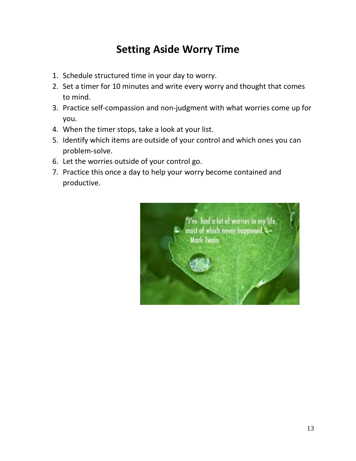# **Setting Aside Worry Time**

- 1. Schedule structured time in your day to worry.
- 2. Set a timer for 10 minutes and write every worry and thought that comes to mind.
- 3. Practice self-compassion and non-judgment with what worries come up for you.
- 4. When the timer stops, take a look at your list.
- 5. Identify which items are outside of your control and which ones you can problem-solve.
- 6. Let the worries outside of your control go.
- 7. Practice this once a day to help your worry become contained and productive.

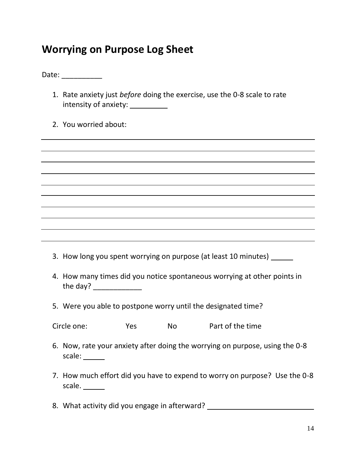# **Worrying on Purpose Log Sheet**

Date: \_\_\_\_\_\_\_\_\_\_\_\_\_

- 1. Rate anxiety just *before* doing the exercise, use the 0-8 scale to rate intensity of anxiety:
- 2. You worried about:

3. How long you spent worrying on purpose (at least 10 minutes)

- 4. How many times did you notice spontaneous worrying at other points in the day? \_\_\_\_\_\_\_\_\_\_\_\_
- 5. Were you able to postpone worry until the designated time?

Circle one: The Sestember 2012 No Part of the time

- 6. Now, rate your anxiety after doing the worrying on purpose, using the 0-8 scale: \_\_\_\_\_\_
- 7. How much effort did you have to expend to worry on purpose? Use the 0-8 scale.
- 8. What activity did you engage in afterward?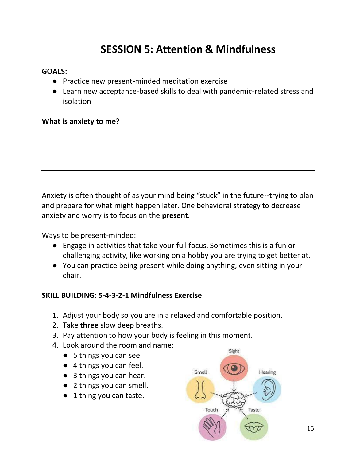# **SESSION 5: Attention & Mindfulness**

### **GOALS:**

- Practice new present-minded meditation exercise
- Learn new acceptance-based skills to deal with pandemic-related stress and isolation

### **What is anxiety to me?**

Anxiety is often thought of as your mind being "stuck" in the future--trying to plan and prepare for what might happen later. One behavioral strategy to decrease anxiety and worry is to focus on the **present**.

Ways to be present-minded:

- Engage in activities that take your full focus. Sometimes this is a fun or challenging activity, like working on a hobby you are trying to get better at.
- You can practice being present while doing anything, even sitting in your chair.

### **SKILL BUILDING: 5-4-3-2-1 Mindfulness Exercise**

- 1. Adjust your body so you are in a relaxed and comfortable position.
- 2. Take **three** slow deep breaths.
- 3. Pay attention to how your body is feeling in this moment.
- 4. Look around the room and name:
	- 5 things you can see.
	- 4 things you can feel.
	- 3 things you can hear.
	- 2 things you can smell.
	- 1 thing you can taste.

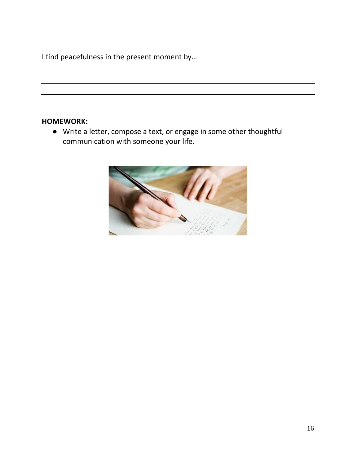I find peacefulness in the present moment by…

### **HOMEWORK:**

● Write a letter, compose a text, or engage in some other thoughtful communication with someone your life.

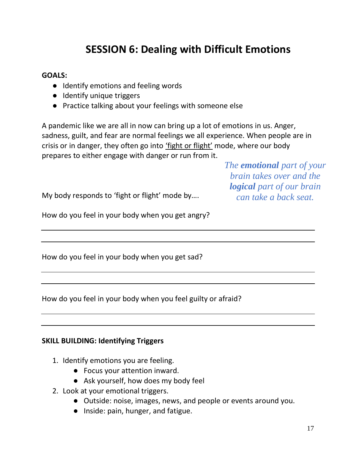# **SESSION 6: Dealing with Difficult Emotions**

### **GOALS:**

- Identify emotions and feeling words
- Identify unique triggers
- Practice talking about your feelings with someone else

A pandemic like we are all in now can bring up a lot of emotions in us. Anger, sadness, guilt, and fear are normal feelings we all experience. When people are in crisis or in danger, they often go into 'fight or flight' mode, where our body prepares to either engage with danger or run from it.

> *The emotional part of your brain takes over and the logical part of our brain can take a back seat.*

My body responds to 'fight or flight' mode by….

How do you feel in your body when you get angry?

How do you feel in your body when you get sad?

How do you feel in your body when you feel guilty or afraid?

### **SKILL BUILDING: Identifying Triggers**

- 1. Identify emotions you are feeling.
	- Focus your attention inward.
	- Ask yourself, how does my body feel
- 2. Look at your emotional triggers.
	- Outside: noise, images, news, and people or events around you.
	- Inside: pain, hunger, and fatigue.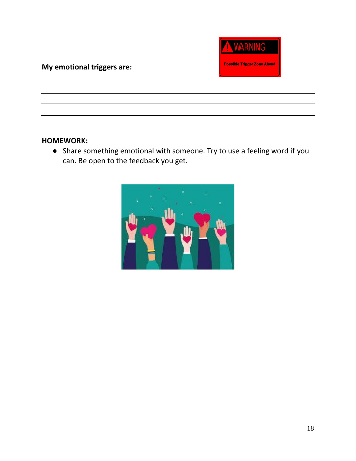### **My emotional triggers are:**



### **HOMEWORK:**

● Share something emotional with someone. Try to use a feeling word if you can. Be open to the feedback you get.

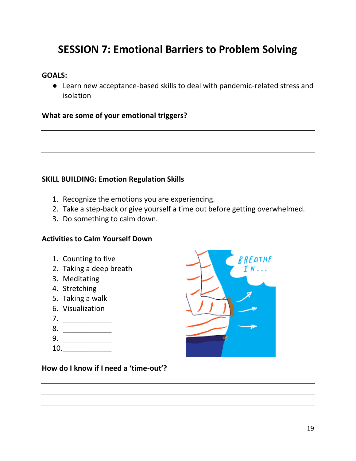# **SESSION 7: Emotional Barriers to Problem Solving**

### **GOALS:**

● Learn new acceptance-based skills to deal with pandemic-related stress and isolation

### **What are some of your emotional triggers?**

### **SKILL BUILDING: Emotion Regulation Skills**

- 1. Recognize the emotions you are experiencing.
- 2. Take a step-back or give yourself a time out before getting overwhelmed.
- 3. Do something to calm down.

### **Activities to Calm Yourself Down**

- 1. Counting to five
- 2. Taking a deep breath
- 3. Meditating
- 4. Stretching
- 5. Taking a walk
- 6. Visualization
- 7. \_\_\_\_\_\_\_\_\_\_\_\_
- 8.
- 9. \_\_\_\_\_\_\_\_\_\_\_\_
- 
- 10.\_\_\_\_\_\_\_\_\_\_\_\_



**How do I know if I need a 'time-out'?**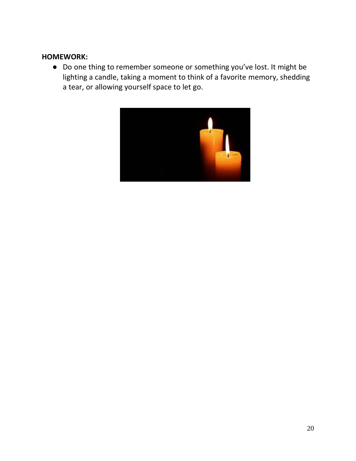### **HOMEWORK:**

● Do one thing to remember someone or something you've lost. It might be lighting a candle, taking a moment to think of a favorite memory, shedding a tear, or allowing yourself space to let go.

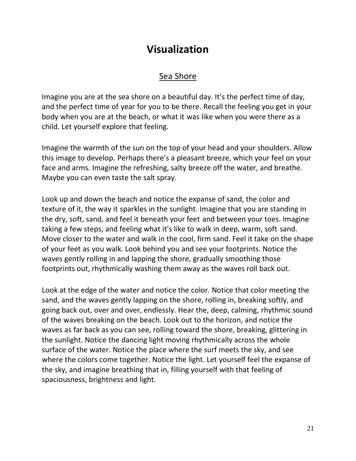### **Visualization**

### Sea Shore

Imagine you are at the sea shore on a beautiful day. It's the perfect time of day, and the perfect time of year for you to be there. Recall the feeling you get in your body when you are at the beach, or what it was like when you were there as a child. Let yourself explore that feeling.

Imagine the warmth of the sun on the top of your head and your shoulders. Allow this image to develop. Perhaps there's a pleasant breeze, which your feel on your face and arms. Imagine the refreshing, salty breeze off the water, and breathe. Maybe you can even taste the salt spray.

Look up and down the beach and notice the expanse of sand, the color and texture of it, the way it sparkles in the sunlight. Imagine that you are standing in the dry, soft, sand, and feel it beneath your feet and between your toes. Imagine taking a few steps, and feeling what it's like to walk in deep, warm, soft sand. Move closer to the water and walk in the cool, firm sand. Feel it take on the shape of your feet as you walk. Look behind you and see your footprints. Notice the waves gently rolling in and lapping the shore, gradually smoothing those footprints out, rhythmically washing them away as the waves roll back out.

Look at the edge of the water and notice the color. Notice that color meeting the sand, and the waves gently lapping on the shore, rolling in, breaking softly, and going back out, over and over, endlessly. Hear the, deep, calming, rhythmic sound of the waves breaking on the beach. Look out to the horizon, and notice the waves as far back as you can see, rolling toward the shore, breaking, glittering in the sunlight. Notice the dancing light moving rhythmically across the whole surface of the water. Notice the place where the surf meets the sky, and see where the colors come together. Notice the light. Let yourself feel the expanse of the sky, and imagine breathing that in, filling yourself with that feeling of spaciousness, brightness and light.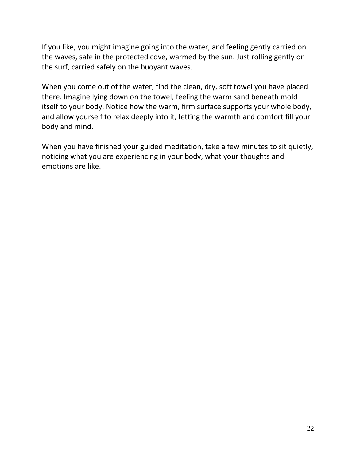If you like, you might imagine going into the water, and feeling gently carried on the waves, safe in the protected cove, warmed by the sun. Just rolling gently on the surf, carried safely on the buoyant waves.

When you come out of the water, find the clean, dry, soft towel you have placed there. Imagine lying down on the towel, feeling the warm sand beneath mold itself to your body. Notice how the warm, firm surface supports your whole body, and allow yourself to relax deeply into it, letting the warmth and comfort fill your body and mind.

When you have finished your guided meditation, take a few minutes to sit quietly, noticing what you are experiencing in your body, what your thoughts and emotions are like.